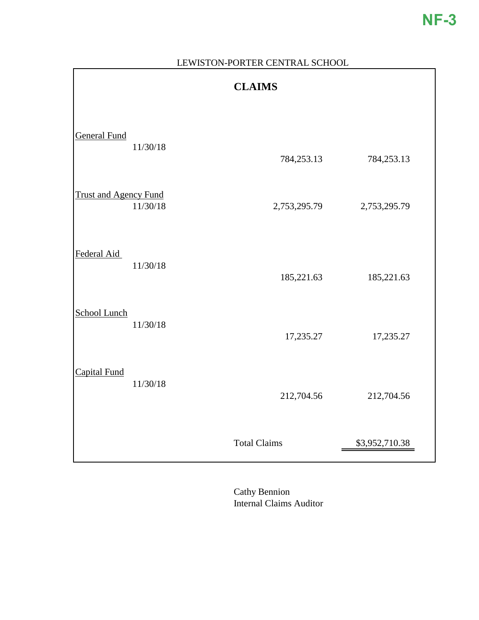### LEWISTON-PORTER CENTRAL SCHOOL

|                              | <b>CLAIMS</b> |                     |                |  |  |  |  |
|------------------------------|---------------|---------------------|----------------|--|--|--|--|
| <b>General Fund</b>          | 11/30/18      | 784,253.13          | 784,253.13     |  |  |  |  |
| <b>Trust and Agency Fund</b> | 11/30/18      | 2,753,295.79        | 2,753,295.79   |  |  |  |  |
| Federal Aid                  | 11/30/18      | 185,221.63          | 185,221.63     |  |  |  |  |
| <b>School Lunch</b>          | 11/30/18      | 17,235.27           | 17,235.27      |  |  |  |  |
| Capital Fund                 | 11/30/18      | 212,704.56          | 212,704.56     |  |  |  |  |
|                              |               | <b>Total Claims</b> | \$3,952,710.38 |  |  |  |  |

Cathy Bennion Internal Claims Auditor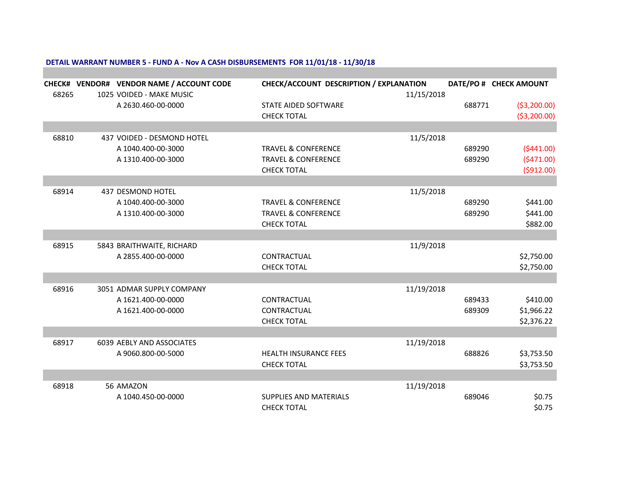| 68265 | CHECK# VENDOR# VENDOR NAME / ACCOUNT CODE<br>1025 VOIDED - MAKE MUSIC | CHECK/ACCOUNT DESCRIPTION / EXPLANATION | 11/15/2018 |        | DATE/PO # CHECK AMOUNT |
|-------|-----------------------------------------------------------------------|-----------------------------------------|------------|--------|------------------------|
|       | A 2630.460-00-0000                                                    | STATE AIDED SOFTWARE                    |            | 688771 | ( \$3,200.00)          |
|       |                                                                       | <b>CHECK TOTAL</b>                      |            |        | ( \$3,200.00)          |
|       |                                                                       |                                         |            |        |                        |
| 68810 | 437 VOIDED - DESMOND HOTEL                                            |                                         | 11/5/2018  |        |                        |
|       | A 1040.400-00-3000                                                    | <b>TRAVEL &amp; CONFERENCE</b>          |            | 689290 | (5441.00)              |
|       | A 1310.400-00-3000                                                    | <b>TRAVEL &amp; CONFERENCE</b>          |            | 689290 | (5471.00)              |
|       |                                                                       | <b>CHECK TOTAL</b>                      |            |        | (5912.00)              |
|       |                                                                       |                                         |            |        |                        |
| 68914 | 437 DESMOND HOTEL                                                     |                                         | 11/5/2018  |        |                        |
|       | A 1040.400-00-3000                                                    | <b>TRAVEL &amp; CONFERENCE</b>          |            | 689290 | \$441.00               |
|       | A 1310.400-00-3000                                                    | <b>TRAVEL &amp; CONFERENCE</b>          |            | 689290 | \$441.00               |
|       |                                                                       | <b>CHECK TOTAL</b>                      |            |        | \$882.00               |
|       |                                                                       |                                         |            |        |                        |
| 68915 | 5843 BRAITHWAITE, RICHARD                                             |                                         | 11/9/2018  |        |                        |
|       | A 2855.400-00-0000                                                    | CONTRACTUAL                             |            |        | \$2,750.00             |
|       |                                                                       | <b>CHECK TOTAL</b>                      |            |        | \$2,750.00             |
|       |                                                                       |                                         |            |        |                        |
| 68916 | 3051 ADMAR SUPPLY COMPANY                                             |                                         | 11/19/2018 |        |                        |
|       | A 1621.400-00-0000                                                    | CONTRACTUAL                             |            | 689433 | \$410.00               |
|       | A 1621.400-00-0000                                                    | CONTRACTUAL                             |            | 689309 | \$1,966.22             |
|       |                                                                       | <b>CHECK TOTAL</b>                      |            |        | \$2,376.22             |
|       |                                                                       |                                         |            |        |                        |
| 68917 | 6039 AEBLY AND ASSOCIATES                                             |                                         | 11/19/2018 |        |                        |
|       | A 9060.800-00-5000                                                    | <b>HEALTH INSURANCE FEES</b>            |            | 688826 | \$3,753.50             |
|       |                                                                       | <b>CHECK TOTAL</b>                      |            |        | \$3,753.50             |
|       |                                                                       |                                         |            |        |                        |
| 68918 | 56 AMAZON                                                             |                                         | 11/19/2018 |        |                        |
|       | A 1040.450-00-0000                                                    | <b>SUPPLIES AND MATERIALS</b>           |            | 689046 | \$0.75                 |
|       |                                                                       |                                         |            |        | \$0.75                 |
|       |                                                                       | <b>CHECK TOTAL</b>                      |            |        |                        |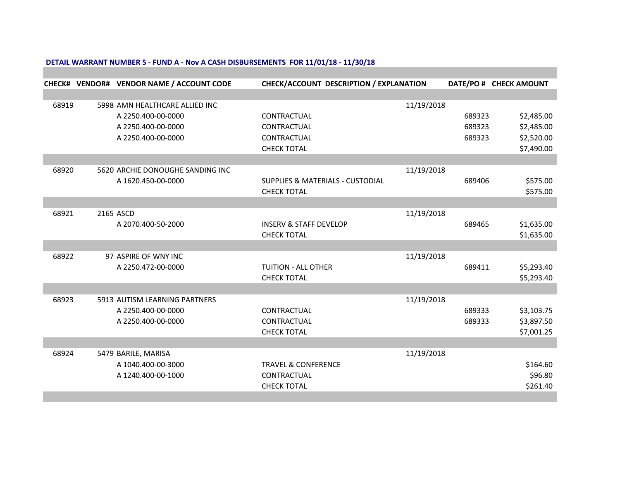|       | CHECK# VENDOR# VENDOR NAME / ACCOUNT CODE | CHECK/ACCOUNT DESCRIPTION / EXPLANATION     |            |        | DATE/PO # CHECK AMOUNT |
|-------|-------------------------------------------|---------------------------------------------|------------|--------|------------------------|
|       |                                           |                                             |            |        |                        |
| 68919 | 5998 AMN HEALTHCARE ALLIED INC            |                                             | 11/19/2018 |        |                        |
|       | A 2250.400-00-0000                        | CONTRACTUAL                                 |            | 689323 | \$2,485.00             |
|       | A 2250.400-00-0000                        | CONTRACTUAL                                 |            | 689323 | \$2,485.00             |
|       | A 2250.400-00-0000                        | CONTRACTUAL                                 |            | 689323 | \$2,520.00             |
|       |                                           | <b>CHECK TOTAL</b>                          |            |        | \$7,490.00             |
|       |                                           |                                             |            |        |                        |
| 68920 | 5620 ARCHIE DONOUGHE SANDING INC          |                                             | 11/19/2018 |        |                        |
|       | A 1620.450-00-0000                        | <b>SUPPLIES &amp; MATERIALS - CUSTODIAL</b> |            | 689406 | \$575.00               |
|       |                                           | <b>CHECK TOTAL</b>                          |            |        | \$575.00               |
| 68921 | 2165 ASCD                                 |                                             | 11/19/2018 |        |                        |
|       | A 2070.400-50-2000                        | <b>INSERV &amp; STAFF DEVELOP</b>           |            | 689465 | \$1,635.00             |
|       |                                           | <b>CHECK TOTAL</b>                          |            |        | \$1,635.00             |
|       |                                           |                                             |            |        |                        |
| 68922 | 97 ASPIRE OF WNY INC                      |                                             | 11/19/2018 |        |                        |
|       | A 2250.472-00-0000                        | <b>TUITION - ALL OTHER</b>                  |            | 689411 | \$5,293.40             |
|       |                                           | <b>CHECK TOTAL</b>                          |            |        | \$5,293.40             |
|       |                                           |                                             |            |        |                        |
| 68923 | 5913 AUTISM LEARNING PARTNERS             |                                             | 11/19/2018 |        |                        |
|       | A 2250.400-00-0000                        | CONTRACTUAL                                 |            | 689333 | \$3,103.75             |
|       | A 2250.400-00-0000                        | CONTRACTUAL                                 |            | 689333 | \$3,897.50             |
|       |                                           | <b>CHECK TOTAL</b>                          |            |        | \$7,001.25             |
|       |                                           |                                             |            |        |                        |
| 68924 | 5479 BARILE, MARISA                       |                                             | 11/19/2018 |        |                        |
|       | A 1040.400-00-3000                        | <b>TRAVEL &amp; CONFERENCE</b>              |            |        | \$164.60               |
|       | A 1240.400-00-1000                        | CONTRACTUAL<br><b>CHECK TOTAL</b>           |            |        | \$96.80<br>\$261.40    |
|       |                                           |                                             |            |        |                        |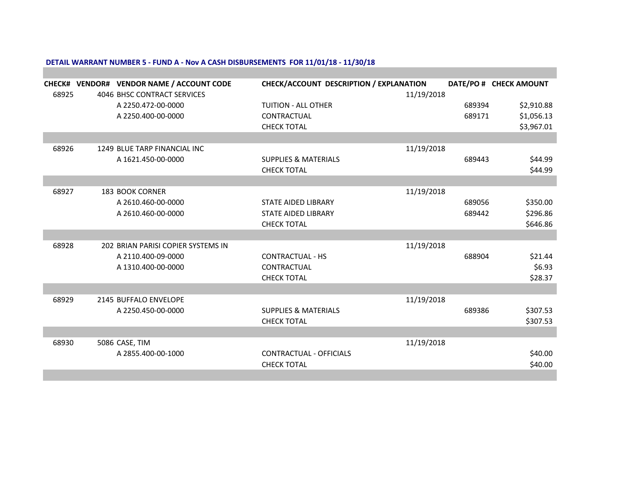|       | CHECK# VENDOR# VENDOR NAME / ACCOUNT CODE | CHECK/ACCOUNT DESCRIPTION / EXPLANATION |            | DATE/PO # CHECK AMOUNT |
|-------|-------------------------------------------|-----------------------------------------|------------|------------------------|
| 68925 | 4046 BHSC CONTRACT SERVICES               |                                         | 11/19/2018 |                        |
|       | A 2250.472-00-0000                        | <b>TUITION - ALL OTHER</b>              | 689394     | \$2,910.88             |
|       | A 2250.400-00-0000                        | CONTRACTUAL                             | 689171     | \$1,056.13             |
|       |                                           | <b>CHECK TOTAL</b>                      |            | \$3,967.01             |
|       |                                           |                                         |            |                        |
| 68926 | 1249 BLUE TARP FINANCIAL INC              |                                         | 11/19/2018 |                        |
|       | A 1621.450-00-0000                        | <b>SUPPLIES &amp; MATERIALS</b>         | 689443     | \$44.99                |
|       |                                           | <b>CHECK TOTAL</b>                      |            | \$44.99                |
|       |                                           |                                         |            |                        |
| 68927 | 183 BOOK CORNER                           |                                         | 11/19/2018 |                        |
|       | A 2610.460-00-0000                        | <b>STATE AIDED LIBRARY</b>              | 689056     | \$350.00               |
|       | A 2610.460-00-0000                        | <b>STATE AIDED LIBRARY</b>              | 689442     | \$296.86               |
|       |                                           | <b>CHECK TOTAL</b>                      |            | \$646.86               |
|       |                                           |                                         |            |                        |
| 68928 | 202 BRIAN PARISI COPIER SYSTEMS IN        |                                         | 11/19/2018 |                        |
|       | A 2110.400-09-0000                        | <b>CONTRACTUAL - HS</b>                 | 688904     | \$21.44                |
|       | A 1310.400-00-0000                        | CONTRACTUAL                             |            | \$6.93                 |
|       |                                           | <b>CHECK TOTAL</b>                      |            | \$28.37                |
|       |                                           |                                         |            |                        |
| 68929 | 2145 BUFFALO ENVELOPE                     |                                         | 11/19/2018 |                        |
|       | A 2250.450-00-0000                        | <b>SUPPLIES &amp; MATERIALS</b>         | 689386     | \$307.53               |
|       |                                           | <b>CHECK TOTAL</b>                      |            | \$307.53               |
|       |                                           |                                         |            |                        |
| 68930 | 5086 CASE, TIM                            |                                         | 11/19/2018 |                        |
|       | A 2855.400-00-1000                        | <b>CONTRACTUAL - OFFICIALS</b>          |            | \$40.00                |
|       |                                           | <b>CHECK TOTAL</b>                      |            | \$40.00                |
|       |                                           |                                         |            |                        |

and the control of the control of the control of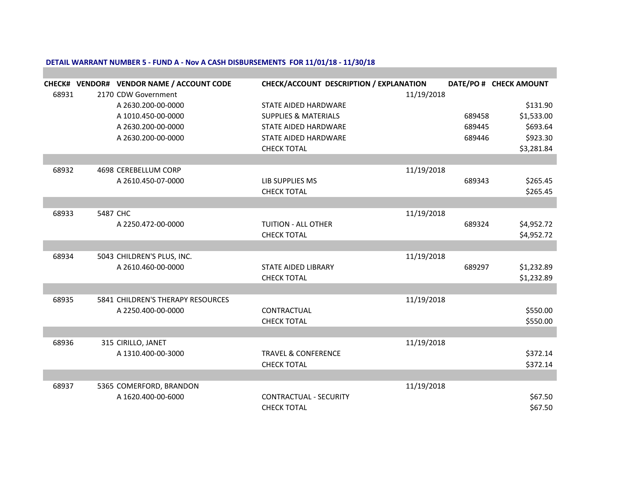|       |          | CHECK# VENDOR# VENDOR NAME / ACCOUNT CODE | CHECK/ACCOUNT DESCRIPTION / EXPLANATION |            |        | DATE/PO # CHECK AMOUNT |
|-------|----------|-------------------------------------------|-----------------------------------------|------------|--------|------------------------|
| 68931 |          | 2170 CDW Government<br>A 2630.200-00-0000 | <b>STATE AIDED HARDWARE</b>             | 11/19/2018 |        | \$131.90               |
|       |          | A 1010.450-00-0000                        | <b>SUPPLIES &amp; MATERIALS</b>         |            | 689458 | \$1,533.00             |
|       |          | A 2630.200-00-0000                        | <b>STATE AIDED HARDWARE</b>             |            | 689445 | \$693.64               |
|       |          | A 2630.200-00-0000                        | STATE AIDED HARDWARE                    |            | 689446 | \$923.30               |
|       |          |                                           | <b>CHECK TOTAL</b>                      |            |        | \$3,281.84             |
|       |          |                                           |                                         |            |        |                        |
| 68932 |          | 4698 CEREBELLUM CORP                      |                                         | 11/19/2018 |        |                        |
|       |          | A 2610.450-07-0000                        | LIB SUPPLIES MS                         |            | 689343 | \$265.45               |
|       |          |                                           | <b>CHECK TOTAL</b>                      |            |        | \$265.45               |
| 68933 | 5487 CHC |                                           |                                         | 11/19/2018 |        |                        |
|       |          | A 2250.472-00-0000                        | TUITION - ALL OTHER                     |            | 689324 | \$4,952.72             |
|       |          |                                           | <b>CHECK TOTAL</b>                      |            |        | \$4,952.72             |
|       |          |                                           |                                         |            |        |                        |
| 68934 |          | 5043 CHILDREN'S PLUS, INC.                |                                         | 11/19/2018 |        |                        |
|       |          | A 2610.460-00-0000                        | <b>STATE AIDED LIBRARY</b>              |            | 689297 | \$1,232.89             |
|       |          |                                           | <b>CHECK TOTAL</b>                      |            |        | \$1,232.89             |
|       |          |                                           |                                         |            |        |                        |
| 68935 |          | 5841 CHILDREN'S THERAPY RESOURCES         |                                         | 11/19/2018 |        |                        |
|       |          | A 2250.400-00-0000                        | CONTRACTUAL                             |            |        | \$550.00               |
|       |          |                                           | <b>CHECK TOTAL</b>                      |            |        | \$550.00               |
| 68936 |          | 315 CIRILLO, JANET                        |                                         | 11/19/2018 |        |                        |
|       |          | A 1310.400-00-3000                        | <b>TRAVEL &amp; CONFERENCE</b>          |            |        | \$372.14               |
|       |          |                                           | <b>CHECK TOTAL</b>                      |            |        | \$372.14               |
|       |          |                                           |                                         |            |        |                        |
| 68937 |          | 5365 COMERFORD, BRANDON                   |                                         | 11/19/2018 |        |                        |
|       |          | A 1620.400-00-6000                        | <b>CONTRACTUAL - SECURITY</b>           |            |        | \$67.50                |
|       |          |                                           | <b>CHECK TOTAL</b>                      |            |        | \$67.50                |

and the control of the control of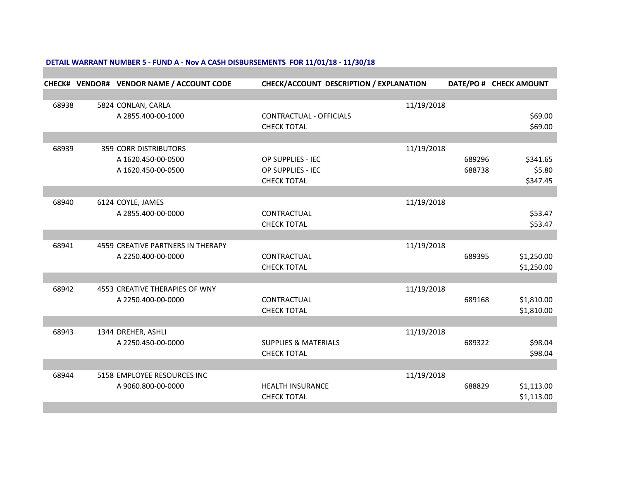|       | CHECK# VENDOR# VENDOR NAME / ACCOUNT CODE | CHECK/ACCOUNT DESCRIPTION / EXPLANATION              |            |        | DATE/PO # CHECK AMOUNT |
|-------|-------------------------------------------|------------------------------------------------------|------------|--------|------------------------|
|       |                                           |                                                      |            |        |                        |
| 68938 | 5824 CONLAN, CARLA                        |                                                      | 11/19/2018 |        |                        |
|       | A 2855.400-00-1000                        | <b>CONTRACTUAL - OFFICIALS</b><br><b>CHECK TOTAL</b> |            |        | \$69.00<br>\$69.00     |
|       |                                           |                                                      |            |        |                        |
| 68939 | <b>359 CORR DISTRIBUTORS</b>              |                                                      | 11/19/2018 |        |                        |
|       | A 1620.450-00-0500                        | OP SUPPLIES - IEC                                    |            | 689296 | \$341.65               |
|       | A 1620.450-00-0500                        | OP SUPPLIES - IEC                                    |            | 688738 | \$5.80                 |
|       |                                           | <b>CHECK TOTAL</b>                                   |            |        | \$347.45               |
|       |                                           |                                                      |            |        |                        |
| 68940 | 6124 COYLE, JAMES                         |                                                      | 11/19/2018 |        |                        |
|       | A 2855.400-00-0000                        | CONTRACTUAL<br><b>CHECK TOTAL</b>                    |            |        | \$53.47<br>\$53.47     |
|       |                                           |                                                      |            |        |                        |
| 68941 | 4559 CREATIVE PARTNERS IN THERAPY         |                                                      | 11/19/2018 |        |                        |
|       | A 2250.400-00-0000                        | CONTRACTUAL                                          |            | 689395 | \$1,250.00             |
|       |                                           | <b>CHECK TOTAL</b>                                   |            |        | \$1,250.00             |
|       |                                           |                                                      |            |        |                        |
| 68942 | 4553 CREATIVE THERAPIES OF WNY            |                                                      | 11/19/2018 |        |                        |
|       | A 2250.400-00-0000                        | CONTRACTUAL                                          |            | 689168 | \$1,810.00             |
|       |                                           | <b>CHECK TOTAL</b>                                   |            |        | \$1,810.00             |
| 68943 | 1344 DREHER, ASHLI                        |                                                      | 11/19/2018 |        |                        |
|       | A 2250.450-00-0000                        | <b>SUPPLIES &amp; MATERIALS</b>                      |            | 689322 | \$98.04                |
|       |                                           | <b>CHECK TOTAL</b>                                   |            |        | \$98.04                |
|       |                                           |                                                      |            |        |                        |
| 68944 | 5158 EMPLOYEE RESOURCES INC               |                                                      | 11/19/2018 |        |                        |
|       | A 9060.800-00-0000                        | <b>HEALTH INSURANCE</b>                              |            | 688829 | \$1,113.00             |
|       |                                           | <b>CHECK TOTAL</b>                                   |            |        | \$1,113.00             |
|       |                                           |                                                      |            |        |                        |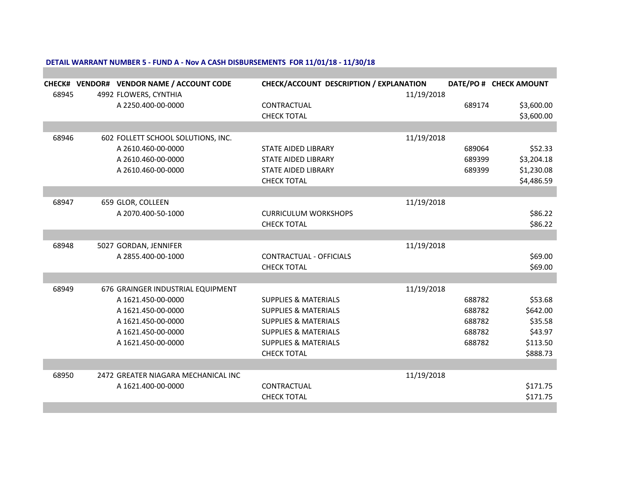|       | CHECK# VENDOR# VENDOR NAME / ACCOUNT CODE | CHECK/ACCOUNT DESCRIPTION / EXPLANATION |            |        | DATE/PO # CHECK AMOUNT |
|-------|-------------------------------------------|-----------------------------------------|------------|--------|------------------------|
| 68945 | 4992 FLOWERS, CYNTHIA                     |                                         | 11/19/2018 |        |                        |
|       | A 2250.400-00-0000                        | CONTRACTUAL                             |            | 689174 | \$3,600.00             |
|       |                                           | <b>CHECK TOTAL</b>                      |            |        | \$3,600.00             |
|       |                                           |                                         |            |        |                        |
| 68946 | 602 FOLLETT SCHOOL SOLUTIONS, INC.        |                                         | 11/19/2018 |        |                        |
|       | A 2610.460-00-0000                        | <b>STATE AIDED LIBRARY</b>              |            | 689064 | \$52.33                |
|       | A 2610.460-00-0000                        | STATE AIDED LIBRARY                     |            | 689399 | \$3,204.18             |
|       | A 2610.460-00-0000                        | <b>STATE AIDED LIBRARY</b>              |            | 689399 | \$1,230.08             |
|       |                                           | <b>CHECK TOTAL</b>                      |            |        | \$4,486.59             |
|       |                                           |                                         |            |        |                        |
| 68947 | 659 GLOR, COLLEEN                         |                                         | 11/19/2018 |        |                        |
|       | A 2070.400-50-1000                        | <b>CURRICULUM WORKSHOPS</b>             |            |        | \$86.22                |
|       |                                           | <b>CHECK TOTAL</b>                      |            |        | \$86.22                |
|       |                                           |                                         |            |        |                        |
| 68948 | 5027 GORDAN, JENNIFER                     |                                         | 11/19/2018 |        |                        |
|       | A 2855.400-00-1000                        | <b>CONTRACTUAL - OFFICIALS</b>          |            |        | \$69.00                |
|       |                                           | <b>CHECK TOTAL</b>                      |            |        | \$69.00                |
|       |                                           |                                         |            |        |                        |
| 68949 | 676 GRAINGER INDUSTRIAL EQUIPMENT         |                                         | 11/19/2018 |        |                        |
|       | A 1621.450-00-0000                        | <b>SUPPLIES &amp; MATERIALS</b>         |            | 688782 | \$53.68                |
|       | A 1621.450-00-0000                        | <b>SUPPLIES &amp; MATERIALS</b>         |            | 688782 | \$642.00               |
|       | A 1621.450-00-0000                        | <b>SUPPLIES &amp; MATERIALS</b>         |            | 688782 | \$35.58                |
|       | A 1621.450-00-0000                        | <b>SUPPLIES &amp; MATERIALS</b>         |            | 688782 | \$43.97                |
|       | A 1621.450-00-0000                        | <b>SUPPLIES &amp; MATERIALS</b>         |            | 688782 | \$113.50               |
|       |                                           | <b>CHECK TOTAL</b>                      |            |        | \$888.73               |
|       |                                           |                                         |            |        |                        |
| 68950 | 2472 GREATER NIAGARA MECHANICAL INC       |                                         | 11/19/2018 |        |                        |
|       | A 1621.400-00-0000                        | CONTRACTUAL                             |            |        | \$171.75               |
|       |                                           | <b>CHECK TOTAL</b>                      |            |        | \$171.75               |
|       |                                           |                                         |            |        |                        |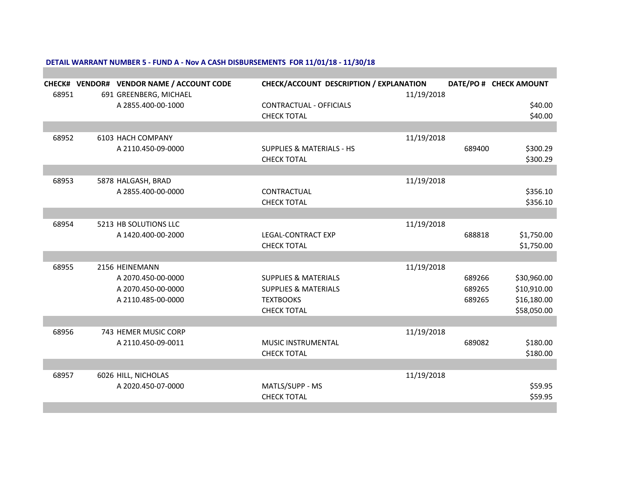| 68951 | CHECK# VENDOR# VENDOR NAME / ACCOUNT CODE<br>691 GREENBERG, MICHAEL | CHECK/ACCOUNT DESCRIPTION / EXPLANATION | 11/19/2018 |        | DATE/PO # CHECK AMOUNT |
|-------|---------------------------------------------------------------------|-----------------------------------------|------------|--------|------------------------|
|       |                                                                     |                                         |            |        |                        |
|       | A 2855.400-00-1000                                                  | <b>CONTRACTUAL - OFFICIALS</b>          |            |        | \$40.00                |
|       |                                                                     | <b>CHECK TOTAL</b>                      |            |        | \$40.00                |
|       |                                                                     |                                         |            |        |                        |
| 68952 | 6103 HACH COMPANY                                                   |                                         | 11/19/2018 |        |                        |
|       | A 2110.450-09-0000                                                  | <b>SUPPLIES &amp; MATERIALS - HS</b>    |            | 689400 | \$300.29               |
|       |                                                                     | <b>CHECK TOTAL</b>                      |            |        | \$300.29               |
|       |                                                                     |                                         |            |        |                        |
| 68953 | 5878 HALGASH, BRAD                                                  |                                         | 11/19/2018 |        |                        |
|       | A 2855.400-00-0000                                                  | CONTRACTUAL                             |            |        | \$356.10               |
|       |                                                                     | <b>CHECK TOTAL</b>                      |            |        | \$356.10               |
|       |                                                                     |                                         |            |        |                        |
| 68954 |                                                                     |                                         |            |        |                        |
|       | 5213 HB SOLUTIONS LLC                                               |                                         | 11/19/2018 |        |                        |
|       | A 1420.400-00-2000                                                  | <b>LEGAL-CONTRACT EXP</b>               |            | 688818 | \$1,750.00             |
|       |                                                                     | <b>CHECK TOTAL</b>                      |            |        | \$1,750.00             |
|       |                                                                     |                                         |            |        |                        |
| 68955 | 2156 HEINEMANN                                                      |                                         | 11/19/2018 |        |                        |
|       | A 2070.450-00-0000                                                  | <b>SUPPLIES &amp; MATERIALS</b>         |            | 689266 | \$30,960.00            |
|       | A 2070.450-00-0000                                                  | <b>SUPPLIES &amp; MATERIALS</b>         |            | 689265 | \$10,910.00            |
|       | A 2110.485-00-0000                                                  | <b>TEXTBOOKS</b>                        |            | 689265 | \$16,180.00            |
|       |                                                                     | <b>CHECK TOTAL</b>                      |            |        | \$58,050.00            |
|       |                                                                     |                                         |            |        |                        |
| 68956 | 743 HEMER MUSIC CORP                                                |                                         | 11/19/2018 |        |                        |
|       | A 2110.450-09-0011                                                  | MUSIC INSTRUMENTAL                      |            | 689082 | \$180.00               |
|       |                                                                     | <b>CHECK TOTAL</b>                      |            |        | \$180.00               |
|       |                                                                     |                                         |            |        |                        |
|       |                                                                     |                                         |            |        |                        |
| 68957 | 6026 HILL, NICHOLAS                                                 |                                         | 11/19/2018 |        |                        |
|       | A 2020.450-07-0000                                                  | MATLS/SUPP - MS                         |            |        | \$59.95                |
|       |                                                                     | <b>CHECK TOTAL</b>                      |            |        | \$59.95                |
|       |                                                                     |                                         |            |        |                        |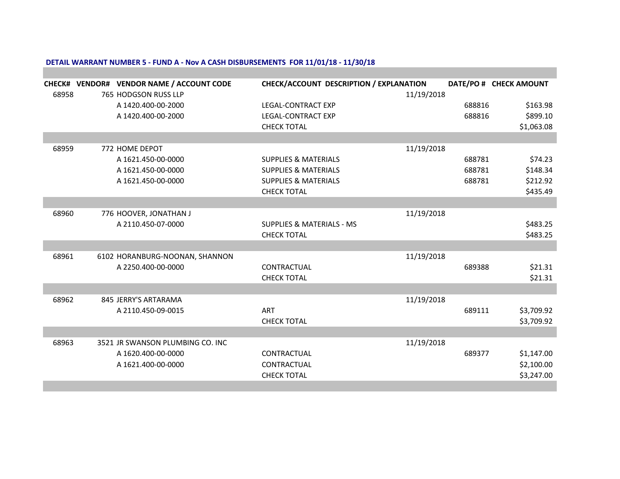|       | CHECK# VENDOR# VENDOR NAME / ACCOUNT CODE | CHECK/ACCOUNT DESCRIPTION / EXPLANATION |            |        | DATE/PO # CHECK AMOUNT |
|-------|-------------------------------------------|-----------------------------------------|------------|--------|------------------------|
| 68958 | 765 HODGSON RUSS LLP                      |                                         | 11/19/2018 |        |                        |
|       | A 1420.400-00-2000                        | <b>LEGAL-CONTRACT EXP</b>               |            | 688816 | \$163.98               |
|       | A 1420.400-00-2000                        | <b>LEGAL-CONTRACT EXP</b>               |            | 688816 | \$899.10               |
|       |                                           | <b>CHECK TOTAL</b>                      |            |        | \$1,063.08             |
|       |                                           |                                         |            |        |                        |
| 68959 | 772 HOME DEPOT                            |                                         | 11/19/2018 |        |                        |
|       | A 1621.450-00-0000                        | <b>SUPPLIES &amp; MATERIALS</b>         |            | 688781 | \$74.23                |
|       | A 1621.450-00-0000                        | <b>SUPPLIES &amp; MATERIALS</b>         |            | 688781 | \$148.34               |
|       | A 1621.450-00-0000                        | <b>SUPPLIES &amp; MATERIALS</b>         |            | 688781 | \$212.92               |
|       |                                           | <b>CHECK TOTAL</b>                      |            |        | \$435.49               |
|       |                                           |                                         |            |        |                        |
| 68960 | 776 HOOVER, JONATHAN J                    |                                         | 11/19/2018 |        |                        |
|       | A 2110.450-07-0000                        | <b>SUPPLIES &amp; MATERIALS - MS</b>    |            |        | \$483.25               |
|       |                                           | <b>CHECK TOTAL</b>                      |            |        | \$483.25               |
|       |                                           |                                         |            |        |                        |
| 68961 | 6102 HORANBURG-NOONAN, SHANNON            |                                         | 11/19/2018 |        |                        |
|       | A 2250.400-00-0000                        | CONTRACTUAL                             |            | 689388 | \$21.31                |
|       |                                           | <b>CHECK TOTAL</b>                      |            |        | \$21.31                |
|       |                                           |                                         |            |        |                        |
| 68962 | 845 JERRY'S ARTARAMA                      |                                         | 11/19/2018 |        |                        |
|       | A 2110.450-09-0015                        | <b>ART</b>                              |            | 689111 | \$3,709.92             |
|       |                                           | <b>CHECK TOTAL</b>                      |            |        | \$3,709.92             |
|       |                                           |                                         |            |        |                        |
| 68963 | 3521 JR SWANSON PLUMBING CO. INC          |                                         | 11/19/2018 |        |                        |
|       | A 1620.400-00-0000                        | CONTRACTUAL                             |            | 689377 | \$1,147.00             |
|       | A 1621.400-00-0000                        | CONTRACTUAL                             |            |        | \$2,100.00             |
|       |                                           | <b>CHECK TOTAL</b>                      |            |        | \$3,247.00             |
|       |                                           |                                         |            |        |                        |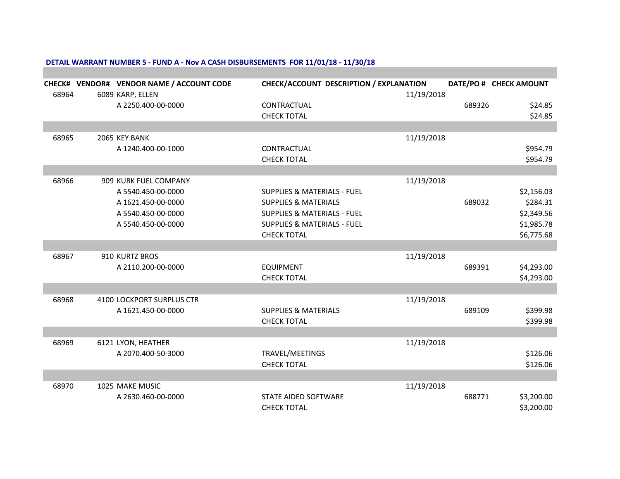| 68964 | CHECK# VENDOR# VENDOR NAME / ACCOUNT CODE<br>6089 KARP, ELLEN | CHECK/ACCOUNT DESCRIPTION / EXPLANATION | 11/19/2018 |        | DATE/PO # CHECK AMOUNT |
|-------|---------------------------------------------------------------|-----------------------------------------|------------|--------|------------------------|
|       | A 2250.400-00-0000                                            | CONTRACTUAL                             |            | 689326 | \$24.85                |
|       |                                                               | <b>CHECK TOTAL</b>                      |            |        | \$24.85                |
|       |                                                               |                                         |            |        |                        |
| 68965 | 2065 KEY BANK                                                 |                                         | 11/19/2018 |        |                        |
|       | A 1240.400-00-1000                                            | CONTRACTUAL                             |            |        | \$954.79               |
|       |                                                               | <b>CHECK TOTAL</b>                      |            |        | \$954.79               |
|       |                                                               |                                         |            |        |                        |
| 68966 | 909 KURK FUEL COMPANY                                         |                                         | 11/19/2018 |        |                        |
|       | A 5540.450-00-0000                                            | <b>SUPPLIES &amp; MATERIALS - FUEL</b>  |            |        | \$2,156.03             |
|       | A 1621.450-00-0000                                            | <b>SUPPLIES &amp; MATERIALS</b>         |            | 689032 | \$284.31               |
|       | A 5540.450-00-0000                                            | <b>SUPPLIES &amp; MATERIALS - FUEL</b>  |            |        | \$2,349.56             |
|       | A 5540.450-00-0000                                            | <b>SUPPLIES &amp; MATERIALS - FUEL</b>  |            |        | \$1,985.78             |
|       |                                                               | <b>CHECK TOTAL</b>                      |            |        | \$6,775.68             |
|       |                                                               |                                         |            |        |                        |
| 68967 | 910 KURTZ BROS                                                |                                         | 11/19/2018 |        |                        |
|       | A 2110.200-00-0000                                            | <b>EQUIPMENT</b>                        |            | 689391 | \$4,293.00             |
|       |                                                               | <b>CHECK TOTAL</b>                      |            |        | \$4,293.00             |
|       |                                                               |                                         |            |        |                        |
| 68968 | 4100 LOCKPORT SURPLUS CTR                                     |                                         | 11/19/2018 |        |                        |
|       | A 1621.450-00-0000                                            | <b>SUPPLIES &amp; MATERIALS</b>         |            | 689109 | \$399.98               |
|       |                                                               | <b>CHECK TOTAL</b>                      |            |        | \$399.98               |
|       |                                                               |                                         |            |        |                        |
| 68969 | 6121 LYON, HEATHER                                            |                                         | 11/19/2018 |        |                        |
|       | A 2070.400-50-3000                                            | TRAVEL/MEETINGS                         |            |        | \$126.06               |
|       |                                                               | <b>CHECK TOTAL</b>                      |            |        | \$126.06               |
|       |                                                               |                                         |            |        |                        |
| 68970 | 1025 MAKE MUSIC                                               |                                         | 11/19/2018 |        |                        |
|       | A 2630.460-00-0000                                            | <b>STATE AIDED SOFTWARE</b>             |            | 688771 | \$3,200.00             |
|       |                                                               | <b>CHECK TOTAL</b>                      |            |        | \$3,200.00             |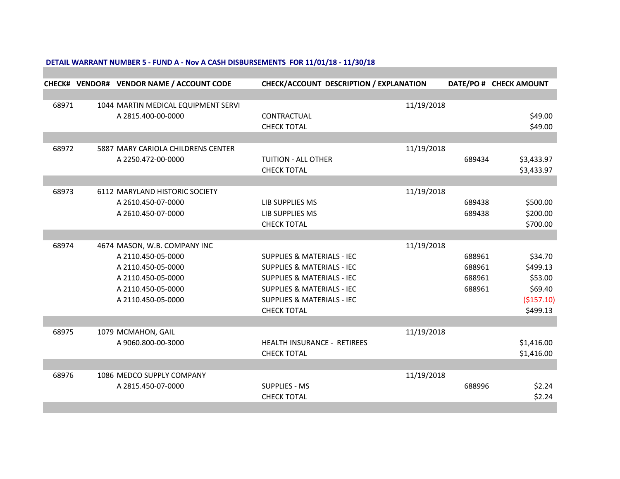|       | CHECK# VENDOR# VENDOR NAME / ACCOUNT CODE | CHECK/ACCOUNT DESCRIPTION / EXPLANATION |            |        | DATE/PO # CHECK AMOUNT |
|-------|-------------------------------------------|-----------------------------------------|------------|--------|------------------------|
|       |                                           |                                         |            |        |                        |
| 68971 | 1044 MARTIN MEDICAL EQUIPMENT SERVI       |                                         | 11/19/2018 |        |                        |
|       | A 2815.400-00-0000                        | CONTRACTUAL                             |            |        | \$49.00                |
|       |                                           | <b>CHECK TOTAL</b>                      |            |        | \$49.00                |
|       |                                           |                                         |            |        |                        |
| 68972 | 5887 MARY CARIOLA CHILDRENS CENTER        |                                         | 11/19/2018 |        |                        |
|       | A 2250.472-00-0000                        | <b>TUITION - ALL OTHER</b>              |            | 689434 | \$3,433.97             |
|       |                                           | <b>CHECK TOTAL</b>                      |            |        | \$3,433.97             |
|       |                                           |                                         |            |        |                        |
| 68973 | 6112 MARYLAND HISTORIC SOCIETY            |                                         | 11/19/2018 |        |                        |
|       | A 2610.450-07-0000                        | LIB SUPPLIES MS                         |            | 689438 | \$500.00               |
|       | A 2610.450-07-0000                        | LIB SUPPLIES MS                         |            | 689438 | \$200.00               |
|       |                                           | <b>CHECK TOTAL</b>                      |            |        | \$700.00               |
|       |                                           |                                         |            |        |                        |
| 68974 | 4674 MASON, W.B. COMPANY INC              |                                         | 11/19/2018 |        |                        |
|       | A 2110.450-05-0000                        | <b>SUPPLIES &amp; MATERIALS - IEC</b>   |            | 688961 | \$34.70                |
|       | A 2110.450-05-0000                        | <b>SUPPLIES &amp; MATERIALS - IEC</b>   |            | 688961 | \$499.13               |
|       | A 2110.450-05-0000                        | <b>SUPPLIES &amp; MATERIALS - IEC</b>   |            | 688961 | \$53.00                |
|       | A 2110.450-05-0000                        | <b>SUPPLIES &amp; MATERIALS - IEC</b>   |            | 688961 | \$69.40                |
|       | A 2110.450-05-0000                        | <b>SUPPLIES &amp; MATERIALS - IEC</b>   |            |        | (\$157.10)             |
|       |                                           | <b>CHECK TOTAL</b>                      |            |        | \$499.13               |
|       |                                           |                                         |            |        |                        |
| 68975 | 1079 MCMAHON, GAIL                        |                                         | 11/19/2018 |        |                        |
|       | A 9060.800-00-3000                        | HEALTH INSURANCE - RETIREES             |            |        | \$1,416.00             |
|       |                                           | <b>CHECK TOTAL</b>                      |            |        | \$1,416.00             |
| 68976 | 1086 MEDCO SUPPLY COMPANY                 |                                         | 11/19/2018 |        |                        |
|       | A 2815.450-07-0000                        | <b>SUPPLIES - MS</b>                    |            | 688996 | \$2.24                 |
|       |                                           | <b>CHECK TOTAL</b>                      |            |        | \$2.24                 |
|       |                                           |                                         |            |        |                        |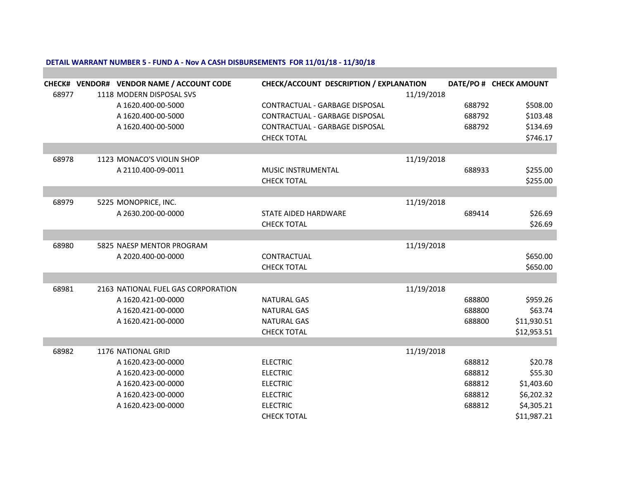| 68977 | CHECK# VENDOR# VENDOR NAME / ACCOUNT CODE<br>1118 MODERN DISPOSAL SVS                                                            | CHECK/ACCOUNT DESCRIPTION / EXPLANATION                                                                                  | 11/19/2018 |                                                | DATE/PO # CHECK AMOUNT                                                      |
|-------|----------------------------------------------------------------------------------------------------------------------------------|--------------------------------------------------------------------------------------------------------------------------|------------|------------------------------------------------|-----------------------------------------------------------------------------|
|       | A 1620.400-00-5000<br>A 1620.400-00-5000<br>A 1620.400-00-5000                                                                   | CONTRACTUAL - GARBAGE DISPOSAL<br>CONTRACTUAL - GARBAGE DISPOSAL<br>CONTRACTUAL - GARBAGE DISPOSAL<br><b>CHECK TOTAL</b> |            | 688792<br>688792<br>688792                     | \$508.00<br>\$103.48<br>\$134.69<br>\$746.17                                |
|       |                                                                                                                                  |                                                                                                                          |            |                                                |                                                                             |
| 68978 | 1123 MONACO'S VIOLIN SHOP<br>A 2110.400-09-0011                                                                                  | MUSIC INSTRUMENTAL<br><b>CHECK TOTAL</b>                                                                                 | 11/19/2018 | 688933                                         | \$255.00<br>\$255.00                                                        |
|       |                                                                                                                                  |                                                                                                                          |            |                                                |                                                                             |
| 68979 | 5225 MONOPRICE, INC.<br>A 2630.200-00-0000                                                                                       | <b>STATE AIDED HARDWARE</b><br><b>CHECK TOTAL</b>                                                                        | 11/19/2018 | 689414                                         | \$26.69<br>\$26.69                                                          |
|       |                                                                                                                                  |                                                                                                                          |            |                                                |                                                                             |
| 68980 | 5825 NAESP MENTOR PROGRAM<br>A 2020.400-00-0000                                                                                  | CONTRACTUAL<br><b>CHECK TOTAL</b>                                                                                        | 11/19/2018 |                                                | \$650.00<br>\$650.00                                                        |
| 68981 | 2163 NATIONAL FUEL GAS CORPORATION                                                                                               |                                                                                                                          | 11/19/2018 |                                                |                                                                             |
|       | A 1620.421-00-0000<br>A 1620.421-00-0000<br>A 1620.421-00-0000                                                                   | <b>NATURAL GAS</b><br><b>NATURAL GAS</b><br><b>NATURAL GAS</b><br><b>CHECK TOTAL</b>                                     |            | 688800<br>688800<br>688800                     | \$959.26<br>\$63.74<br>\$11,930.51<br>\$12,953.51                           |
|       |                                                                                                                                  |                                                                                                                          |            |                                                |                                                                             |
| 68982 | 1176 NATIONAL GRID<br>A 1620.423-00-0000<br>A 1620.423-00-0000<br>A 1620.423-00-0000<br>A 1620.423-00-0000<br>A 1620.423-00-0000 | <b>ELECTRIC</b><br><b>ELECTRIC</b><br><b>ELECTRIC</b><br><b>ELECTRIC</b><br><b>ELECTRIC</b><br><b>CHECK TOTAL</b>        | 11/19/2018 | 688812<br>688812<br>688812<br>688812<br>688812 | \$20.78<br>\$55.30<br>\$1,403.60<br>\$6,202.32<br>\$4,305.21<br>\$11,987.21 |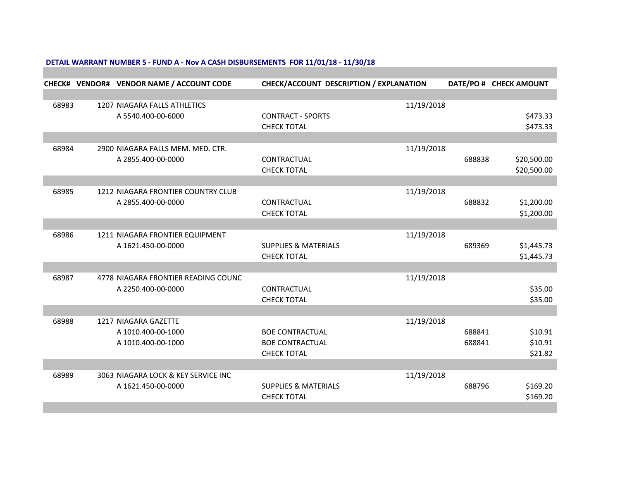| DETAIL WARRANT NUMBER 5 - FUND A - Nov A CASH DISBURSEMENTS FOR 11/01/18 - 11/30/18 |  |  |  |
|-------------------------------------------------------------------------------------|--|--|--|
|-------------------------------------------------------------------------------------|--|--|--|

|       | CHECK# VENDOR# VENDOR NAME / ACCOUNT CODE               | CHECK/ACCOUNT DESCRIPTION / EXPLANATION |            |        | DATE/PO # CHECK AMOUNT |
|-------|---------------------------------------------------------|-----------------------------------------|------------|--------|------------------------|
|       |                                                         |                                         |            |        |                        |
| 68983 | 1207 NIAGARA FALLS ATHLETICS                            |                                         | 11/19/2018 |        |                        |
|       | A 5540.400-00-6000                                      | <b>CONTRACT - SPORTS</b>                |            |        | \$473.33               |
|       |                                                         | <b>CHECK TOTAL</b>                      |            |        | \$473.33               |
|       |                                                         |                                         |            |        |                        |
| 68984 | 2900 NIAGARA FALLS MEM. MED. CTR.<br>A 2855.400-00-0000 | CONTRACTUAL                             | 11/19/2018 | 688838 | \$20,500.00            |
|       |                                                         | <b>CHECK TOTAL</b>                      |            |        | \$20,500.00            |
|       |                                                         |                                         |            |        |                        |
| 68985 | 1212 NIAGARA FRONTIER COUNTRY CLUB                      |                                         | 11/19/2018 |        |                        |
|       | A 2855.400-00-0000                                      | CONTRACTUAL                             |            | 688832 | \$1,200.00             |
|       |                                                         | <b>CHECK TOTAL</b>                      |            |        | \$1,200.00             |
|       |                                                         |                                         |            |        |                        |
| 68986 | 1211 NIAGARA FRONTIER EQUIPMENT                         |                                         | 11/19/2018 |        |                        |
|       | A 1621.450-00-0000                                      | <b>SUPPLIES &amp; MATERIALS</b>         |            | 689369 | \$1,445.73             |
|       |                                                         | <b>CHECK TOTAL</b>                      |            |        | \$1,445.73             |
|       |                                                         |                                         |            |        |                        |
| 68987 | 4778 NIAGARA FRONTIER READING COUNC                     |                                         | 11/19/2018 |        |                        |
|       | A 2250.400-00-0000                                      | CONTRACTUAL<br><b>CHECK TOTAL</b>       |            |        | \$35.00<br>\$35.00     |
|       |                                                         |                                         |            |        |                        |
| 68988 | 1217 NIAGARA GAZETTE                                    |                                         | 11/19/2018 |        |                        |
|       | A 1010.400-00-1000                                      | <b>BOE CONTRACTUAL</b>                  |            | 688841 | \$10.91                |
|       | A 1010.400-00-1000                                      | <b>BOE CONTRACTUAL</b>                  |            | 688841 | \$10.91                |
|       |                                                         | <b>CHECK TOTAL</b>                      |            |        | \$21.82                |
|       |                                                         |                                         |            |        |                        |
| 68989 | 3063 NIAGARA LOCK & KEY SERVICE INC                     |                                         | 11/19/2018 |        |                        |
|       | A 1621.450-00-0000                                      | <b>SUPPLIES &amp; MATERIALS</b>         |            | 688796 | \$169.20               |
|       |                                                         | <b>CHECK TOTAL</b>                      |            |        | \$169.20               |
|       |                                                         |                                         |            |        |                        |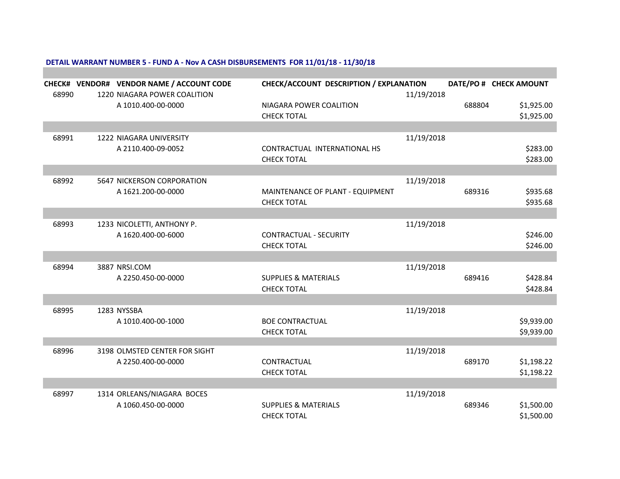|       | CHECK# VENDOR# VENDOR NAME / ACCOUNT CODE | CHECK/ACCOUNT DESCRIPTION / EXPLANATION |            |        | DATE/PO # CHECK AMOUNT |
|-------|-------------------------------------------|-----------------------------------------|------------|--------|------------------------|
| 68990 | 1220 NIAGARA POWER COALITION              |                                         | 11/19/2018 |        |                        |
|       | A 1010.400-00-0000                        | NIAGARA POWER COALITION                 |            | 688804 | \$1,925.00             |
|       |                                           | <b>CHECK TOTAL</b>                      |            |        | \$1,925.00             |
|       |                                           |                                         |            |        |                        |
| 68991 | 1222 NIAGARA UNIVERSITY                   |                                         | 11/19/2018 |        |                        |
|       | A 2110.400-09-0052                        | CONTRACTUAL INTERNATIONAL HS            |            |        | \$283.00               |
|       |                                           | <b>CHECK TOTAL</b>                      |            |        | \$283.00               |
|       |                                           |                                         |            |        |                        |
| 68992 | 5647 NICKERSON CORPORATION                |                                         | 11/19/2018 |        |                        |
|       | A 1621.200-00-0000                        | MAINTENANCE OF PLANT - EQUIPMENT        |            | 689316 | \$935.68               |
|       |                                           | <b>CHECK TOTAL</b>                      |            |        | \$935.68               |
|       |                                           |                                         |            |        |                        |
| 68993 | 1233 NICOLETTI, ANTHONY P.                |                                         | 11/19/2018 |        |                        |
|       | A 1620.400-00-6000                        | <b>CONTRACTUAL - SECURITY</b>           |            |        | \$246.00               |
|       |                                           | <b>CHECK TOTAL</b>                      |            |        | \$246.00               |
|       |                                           |                                         |            |        |                        |
| 68994 | 3887 NRSI.COM                             |                                         | 11/19/2018 |        |                        |
|       | A 2250.450-00-0000                        | <b>SUPPLIES &amp; MATERIALS</b>         |            | 689416 | \$428.84               |
|       |                                           | <b>CHECK TOTAL</b>                      |            |        | \$428.84               |
|       |                                           |                                         |            |        |                        |
| 68995 | 1283 NYSSBA                               |                                         | 11/19/2018 |        |                        |
|       | A 1010.400-00-1000                        | <b>BOE CONTRACTUAL</b>                  |            |        | \$9,939.00             |
|       |                                           | <b>CHECK TOTAL</b>                      |            |        | \$9,939.00             |
|       |                                           |                                         |            |        |                        |
| 68996 | 3198 OLMSTED CENTER FOR SIGHT             |                                         | 11/19/2018 |        |                        |
|       | A 2250.400-00-0000                        | CONTRACTUAL                             |            | 689170 | \$1,198.22             |
|       |                                           | <b>CHECK TOTAL</b>                      |            |        | \$1,198.22             |
|       |                                           |                                         |            |        |                        |
| 68997 | 1314 ORLEANS/NIAGARA BOCES                |                                         | 11/19/2018 |        |                        |
|       | A 1060.450-00-0000                        | <b>SUPPLIES &amp; MATERIALS</b>         |            | 689346 | \$1,500.00             |
|       |                                           | <b>CHECK TOTAL</b>                      |            |        | \$1,500.00             |

and the state of the state of the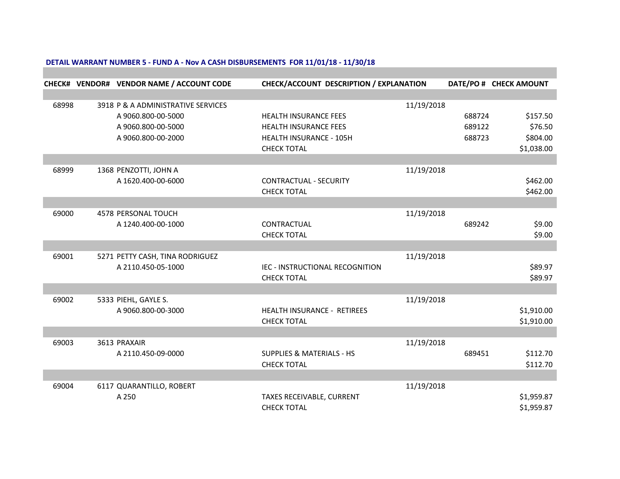|       | CHECK# VENDOR# VENDOR NAME / ACCOUNT CODE | CHECK/ACCOUNT DESCRIPTION / EXPLANATION |            |        | DATE/PO # CHECK AMOUNT |
|-------|-------------------------------------------|-----------------------------------------|------------|--------|------------------------|
|       |                                           |                                         |            |        |                        |
| 68998 | 3918 P & A ADMINISTRATIVE SERVICES        |                                         | 11/19/2018 |        |                        |
|       | A 9060.800-00-5000                        | <b>HEALTH INSURANCE FEES</b>            |            | 688724 | \$157.50               |
|       | A 9060.800-00-5000                        | <b>HEALTH INSURANCE FEES</b>            |            | 689122 | \$76.50                |
|       | A 9060.800-00-2000                        | <b>HEALTH INSURANCE - 105H</b>          |            | 688723 | \$804.00               |
|       |                                           | <b>CHECK TOTAL</b>                      |            |        | \$1,038.00             |
|       |                                           |                                         |            |        |                        |
| 68999 | 1368 PENZOTTI, JOHN A                     |                                         | 11/19/2018 |        |                        |
|       | A 1620.400-00-6000                        | <b>CONTRACTUAL - SECURITY</b>           |            |        | \$462.00               |
|       |                                           | <b>CHECK TOTAL</b>                      |            |        | \$462.00               |
|       |                                           |                                         |            |        |                        |
| 69000 | 4578 PERSONAL TOUCH                       |                                         | 11/19/2018 |        |                        |
|       | A 1240.400-00-1000                        | CONTRACTUAL                             |            | 689242 | \$9.00                 |
|       |                                           | <b>CHECK TOTAL</b>                      |            |        | \$9.00                 |
|       |                                           |                                         |            |        |                        |
| 69001 | 5271 PETTY CASH, TINA RODRIGUEZ           |                                         | 11/19/2018 |        |                        |
|       | A 2110.450-05-1000                        | IEC - INSTRUCTIONAL RECOGNITION         |            |        | \$89.97                |
|       |                                           | <b>CHECK TOTAL</b>                      |            |        | \$89.97                |
|       |                                           |                                         |            |        |                        |
| 69002 | 5333 PIEHL, GAYLE S.                      |                                         | 11/19/2018 |        |                        |
|       | A 9060.800-00-3000                        | HEALTH INSURANCE - RETIREES             |            |        | \$1,910.00             |
|       |                                           | <b>CHECK TOTAL</b>                      |            |        | \$1,910.00             |
| 69003 | 3613 PRAXAIR                              |                                         | 11/19/2018 |        |                        |
|       | A 2110.450-09-0000                        | <b>SUPPLIES &amp; MATERIALS - HS</b>    |            | 689451 | \$112.70               |
|       |                                           | <b>CHECK TOTAL</b>                      |            |        | \$112.70               |
|       |                                           |                                         |            |        |                        |
| 69004 | 6117 QUARANTILLO, ROBERT                  |                                         | 11/19/2018 |        |                        |
|       | A 250                                     | TAXES RECEIVABLE, CURRENT               |            |        | \$1,959.87             |
|       |                                           | <b>CHECK TOTAL</b>                      |            |        | \$1,959.87             |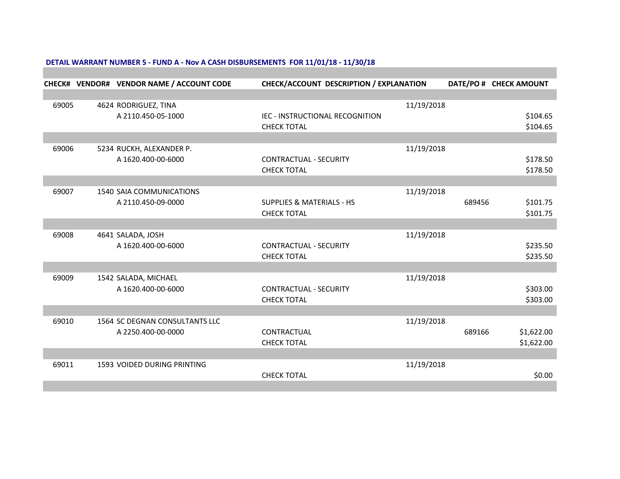|       | CHECK# VENDOR# VENDOR NAME / ACCOUNT CODE | CHECK/ACCOUNT DESCRIPTION / EXPLANATION |            |        | DATE/PO # CHECK AMOUNT |
|-------|-------------------------------------------|-----------------------------------------|------------|--------|------------------------|
|       |                                           |                                         |            |        |                        |
| 69005 | 4624 RODRIGUEZ, TINA                      |                                         | 11/19/2018 |        |                        |
|       | A 2110.450-05-1000                        | IEC - INSTRUCTIONAL RECOGNITION         |            |        | \$104.65               |
|       |                                           | <b>CHECK TOTAL</b>                      |            |        | \$104.65               |
|       |                                           |                                         |            |        |                        |
| 69006 | 5234 RUCKH, ALEXANDER P.                  |                                         | 11/19/2018 |        |                        |
|       | A 1620.400-00-6000                        | <b>CONTRACTUAL - SECURITY</b>           |            |        | \$178.50               |
|       |                                           | <b>CHECK TOTAL</b>                      |            |        | \$178.50               |
|       |                                           |                                         |            |        |                        |
| 69007 | 1540 SAIA COMMUNICATIONS                  |                                         | 11/19/2018 |        |                        |
|       | A 2110.450-09-0000                        | <b>SUPPLIES &amp; MATERIALS - HS</b>    |            | 689456 | \$101.75               |
|       |                                           | <b>CHECK TOTAL</b>                      |            |        | \$101.75               |
|       |                                           |                                         |            |        |                        |
| 69008 | 4641 SALADA, JOSH                         |                                         | 11/19/2018 |        |                        |
|       | A 1620.400-00-6000                        | <b>CONTRACTUAL - SECURITY</b>           |            |        | \$235.50               |
|       |                                           | <b>CHECK TOTAL</b>                      |            |        | \$235.50               |
|       |                                           |                                         |            |        |                        |
| 69009 | 1542 SALADA, MICHAEL                      |                                         | 11/19/2018 |        |                        |
|       | A 1620.400-00-6000                        | <b>CONTRACTUAL - SECURITY</b>           |            |        | \$303.00               |
|       |                                           | <b>CHECK TOTAL</b>                      |            |        | \$303.00               |
|       |                                           |                                         |            |        |                        |
| 69010 | 1564 SC DEGNAN CONSULTANTS LLC            |                                         | 11/19/2018 |        |                        |
|       | A 2250.400-00-0000                        | CONTRACTUAL                             |            | 689166 | \$1,622.00             |
|       |                                           | <b>CHECK TOTAL</b>                      |            |        | \$1,622.00             |
|       |                                           |                                         |            |        |                        |
| 69011 | 1593 VOIDED DURING PRINTING               |                                         | 11/19/2018 |        |                        |
|       |                                           | <b>CHECK TOTAL</b>                      |            |        | \$0.00                 |
|       |                                           |                                         |            |        |                        |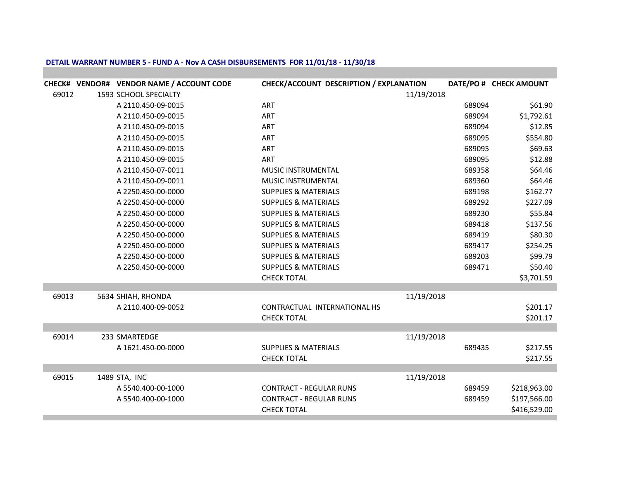|       | CHECK# VENDOR# VENDOR NAME / ACCOUNT CODE | CHECK/ACCOUNT DESCRIPTION / EXPLANATION |            |        | DATE/PO # CHECK AMOUNT |
|-------|-------------------------------------------|-----------------------------------------|------------|--------|------------------------|
| 69012 | 1593 SCHOOL SPECIALTY                     |                                         | 11/19/2018 |        |                        |
|       | A 2110.450-09-0015                        | ART                                     |            | 689094 | \$61.90                |
|       | A 2110.450-09-0015                        | ART                                     |            | 689094 | \$1,792.61             |
|       | A 2110.450-09-0015                        | <b>ART</b>                              |            | 689094 | \$12.85                |
|       | A 2110.450-09-0015                        | <b>ART</b>                              |            | 689095 | \$554.80               |
|       | A 2110.450-09-0015                        | <b>ART</b>                              |            | 689095 | \$69.63                |
|       | A 2110.450-09-0015                        | <b>ART</b>                              |            | 689095 | \$12.88                |
|       | A 2110.450-07-0011                        | MUSIC INSTRUMENTAL                      |            | 689358 | \$64.46                |
|       | A 2110.450-09-0011                        | MUSIC INSTRUMENTAL                      |            | 689360 | \$64.46                |
|       | A 2250.450-00-0000                        | <b>SUPPLIES &amp; MATERIALS</b>         |            | 689198 | \$162.77               |
|       | A 2250.450-00-0000                        | <b>SUPPLIES &amp; MATERIALS</b>         |            | 689292 | \$227.09               |
|       | A 2250.450-00-0000                        | <b>SUPPLIES &amp; MATERIALS</b>         |            | 689230 | \$55.84                |
|       | A 2250.450-00-0000                        | <b>SUPPLIES &amp; MATERIALS</b>         |            | 689418 | \$137.56               |
|       | A 2250.450-00-0000                        | <b>SUPPLIES &amp; MATERIALS</b>         |            | 689419 | \$80.30                |
|       | A 2250.450-00-0000                        | <b>SUPPLIES &amp; MATERIALS</b>         |            | 689417 | \$254.25               |
|       | A 2250.450-00-0000                        | <b>SUPPLIES &amp; MATERIALS</b>         |            | 689203 | \$99.79                |
|       | A 2250.450-00-0000                        | <b>SUPPLIES &amp; MATERIALS</b>         |            | 689471 | \$50.40                |
|       |                                           | <b>CHECK TOTAL</b>                      |            |        | \$3,701.59             |
|       |                                           |                                         |            |        |                        |
| 69013 | 5634 SHIAH, RHONDA                        |                                         | 11/19/2018 |        |                        |
|       | A 2110.400-09-0052                        | CONTRACTUAL INTERNATIONAL HS            |            |        | \$201.17               |
|       |                                           | <b>CHECK TOTAL</b>                      |            |        | \$201.17               |
|       |                                           |                                         |            |        |                        |
| 69014 | 233 SMARTEDGE                             |                                         | 11/19/2018 |        |                        |
|       | A 1621.450-00-0000                        | <b>SUPPLIES &amp; MATERIALS</b>         |            | 689435 | \$217.55               |
|       |                                           | <b>CHECK TOTAL</b>                      |            |        | \$217.55               |
| 69015 | 1489 STA, INC                             |                                         | 11/19/2018 |        |                        |
|       | A 5540.400-00-1000                        | <b>CONTRACT - REGULAR RUNS</b>          |            | 689459 | \$218,963.00           |
|       | A 5540.400-00-1000                        | <b>CONTRACT - REGULAR RUNS</b>          |            | 689459 |                        |
|       |                                           |                                         |            |        | \$197,566.00           |
|       |                                           | <b>CHECK TOTAL</b>                      |            |        | \$416,529.00           |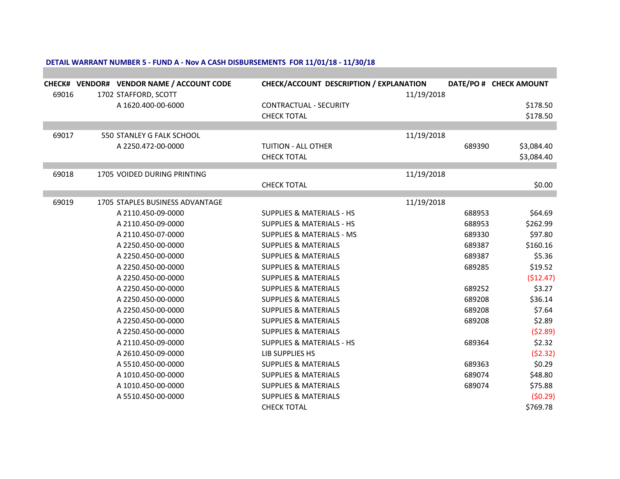| 69016 | CHECK# VENDOR# VENDOR NAME / ACCOUNT CODE<br>1702 STAFFORD, SCOTT | CHECK/ACCOUNT DESCRIPTION / EXPLANATION | 11/19/2018 |        | DATE/PO # CHECK AMOUNT |
|-------|-------------------------------------------------------------------|-----------------------------------------|------------|--------|------------------------|
|       | A 1620.400-00-6000                                                | <b>CONTRACTUAL - SECURITY</b>           |            |        | \$178.50               |
|       |                                                                   | <b>CHECK TOTAL</b>                      |            |        | \$178.50               |
|       |                                                                   |                                         |            |        |                        |
| 69017 | 550 STANLEY G FALK SCHOOL                                         |                                         | 11/19/2018 |        |                        |
|       | A 2250.472-00-0000                                                | <b>TUITION - ALL OTHER</b>              |            | 689390 | \$3,084.40             |
|       |                                                                   | <b>CHECK TOTAL</b>                      |            |        | \$3,084.40             |
| 69018 | 1705 VOIDED DURING PRINTING                                       |                                         | 11/19/2018 |        |                        |
|       |                                                                   | <b>CHECK TOTAL</b>                      |            |        | \$0.00                 |
|       |                                                                   |                                         |            |        |                        |
| 69019 | 1705 STAPLES BUSINESS ADVANTAGE                                   |                                         | 11/19/2018 |        |                        |
|       | A 2110.450-09-0000                                                | <b>SUPPLIES &amp; MATERIALS - HS</b>    |            | 688953 | \$64.69                |
|       | A 2110.450-09-0000                                                | <b>SUPPLIES &amp; MATERIALS - HS</b>    |            | 688953 | \$262.99               |
|       | A 2110.450-07-0000                                                | <b>SUPPLIES &amp; MATERIALS - MS</b>    |            | 689330 | \$97.80                |
|       | A 2250.450-00-0000                                                | <b>SUPPLIES &amp; MATERIALS</b>         |            | 689387 | \$160.16               |
|       | A 2250.450-00-0000                                                | <b>SUPPLIES &amp; MATERIALS</b>         |            | 689387 | \$5.36                 |
|       | A 2250.450-00-0000                                                | <b>SUPPLIES &amp; MATERIALS</b>         |            | 689285 | \$19.52                |
|       | A 2250.450-00-0000                                                | <b>SUPPLIES &amp; MATERIALS</b>         |            |        | (\$12.47)              |
|       | A 2250.450-00-0000                                                | <b>SUPPLIES &amp; MATERIALS</b>         |            | 689252 | \$3.27                 |
|       | A 2250.450-00-0000                                                | <b>SUPPLIES &amp; MATERIALS</b>         |            | 689208 | \$36.14                |
|       | A 2250.450-00-0000                                                | <b>SUPPLIES &amp; MATERIALS</b>         |            | 689208 | \$7.64                 |
|       | A 2250.450-00-0000                                                | <b>SUPPLIES &amp; MATERIALS</b>         |            | 689208 | \$2.89                 |
|       | A 2250.450-00-0000                                                | <b>SUPPLIES &amp; MATERIALS</b>         |            |        | (52.89)                |
|       | A 2110.450-09-0000                                                | <b>SUPPLIES &amp; MATERIALS - HS</b>    |            | 689364 | \$2.32                 |
|       | A 2610.450-09-0000                                                | LIB SUPPLIES HS                         |            |        | (52.32)                |
|       | A 5510.450-00-0000                                                | <b>SUPPLIES &amp; MATERIALS</b>         |            | 689363 | \$0.29                 |
|       | A 1010.450-00-0000                                                | <b>SUPPLIES &amp; MATERIALS</b>         |            | 689074 | \$48.80                |
|       | A 1010.450-00-0000                                                | <b>SUPPLIES &amp; MATERIALS</b>         |            | 689074 | \$75.88                |
|       | A 5510.450-00-0000                                                | <b>SUPPLIES &amp; MATERIALS</b>         |            |        | (50.29)                |
|       |                                                                   | <b>CHECK TOTAL</b>                      |            |        | \$769.78               |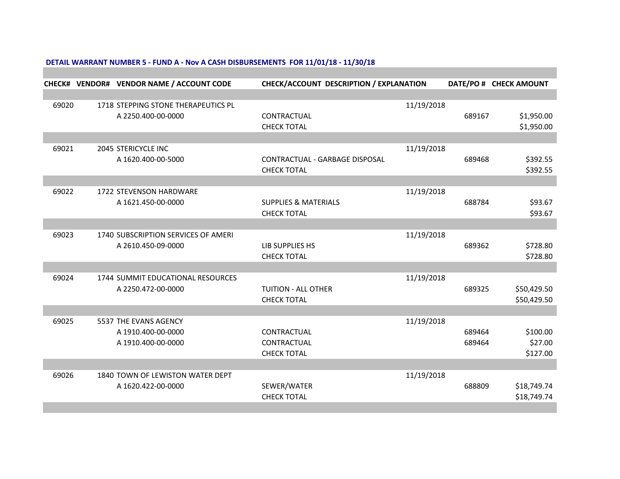|       | CHECK# VENDOR# VENDOR NAME / ACCOUNT CODE | CHECK/ACCOUNT DESCRIPTION / EXPLANATION |            |        | DATE/PO # CHECK AMOUNT |
|-------|-------------------------------------------|-----------------------------------------|------------|--------|------------------------|
|       |                                           |                                         |            |        |                        |
| 69020 | 1718 STEPPING STONE THERAPEUTICS PL       |                                         | 11/19/2018 |        |                        |
|       | A 2250.400-00-0000                        | CONTRACTUAL                             |            | 689167 | \$1,950.00             |
|       |                                           | <b>CHECK TOTAL</b>                      |            |        | \$1,950.00             |
|       |                                           |                                         |            |        |                        |
| 69021 | 2045 STERICYCLE INC<br>A 1620.400-00-5000 | CONTRACTUAL - GARBAGE DISPOSAL          | 11/19/2018 | 689468 | \$392.55               |
|       |                                           | <b>CHECK TOTAL</b>                      |            |        | \$392.55               |
|       |                                           |                                         |            |        |                        |
| 69022 | 1722 STEVENSON HARDWARE                   |                                         | 11/19/2018 |        |                        |
|       | A 1621.450-00-0000                        | <b>SUPPLIES &amp; MATERIALS</b>         |            | 688784 | \$93.67                |
|       |                                           | <b>CHECK TOTAL</b>                      |            |        | \$93.67                |
|       |                                           |                                         |            |        |                        |
| 69023 | 1740 SUBSCRIPTION SERVICES OF AMERI       |                                         | 11/19/2018 |        |                        |
|       | A 2610.450-09-0000                        | LIB SUPPLIES HS                         |            | 689362 | \$728.80               |
|       |                                           | <b>CHECK TOTAL</b>                      |            |        | \$728.80               |
|       |                                           |                                         |            |        |                        |
| 69024 | 1744 SUMMIT EDUCATIONAL RESOURCES         |                                         | 11/19/2018 |        |                        |
|       | A 2250.472-00-0000                        | <b>TUITION - ALL OTHER</b>              |            | 689325 | \$50,429.50            |
|       |                                           | <b>CHECK TOTAL</b>                      |            |        | \$50,429.50            |
| 69025 | 5537 THE EVANS AGENCY                     |                                         | 11/19/2018 |        |                        |
|       | A 1910.400-00-0000                        | CONTRACTUAL                             |            | 689464 | \$100.00               |
|       | A 1910.400-00-0000                        | CONTRACTUAL                             |            | 689464 | \$27.00                |
|       |                                           | <b>CHECK TOTAL</b>                      |            |        | \$127.00               |
|       |                                           |                                         |            |        |                        |
| 69026 | 1840 TOWN OF LEWISTON WATER DEPT          |                                         | 11/19/2018 |        |                        |
|       | A 1620.422-00-0000                        | SEWER/WATER                             |            | 688809 | \$18,749.74            |
|       |                                           | <b>CHECK TOTAL</b>                      |            |        | \$18,749.74            |
|       |                                           |                                         |            |        |                        |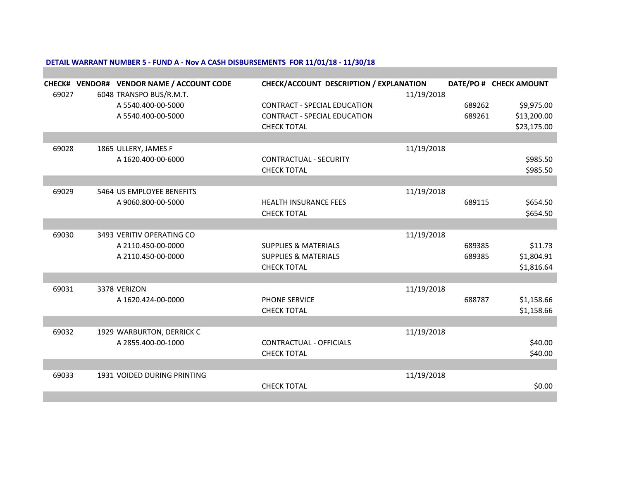| 69027 | CHECK# VENDOR# VENDOR NAME / ACCOUNT CODE<br>6048 TRANSPO BUS/R.M.T. | CHECK/ACCOUNT DESCRIPTION / EXPLANATION | 11/19/2018 |        | DATE/PO # CHECK AMOUNT |
|-------|----------------------------------------------------------------------|-----------------------------------------|------------|--------|------------------------|
|       | A 5540.400-00-5000                                                   | <b>CONTRACT - SPECIAL EDUCATION</b>     |            | 689262 | \$9,975.00             |
|       | A 5540.400-00-5000                                                   | <b>CONTRACT - SPECIAL EDUCATION</b>     |            | 689261 | \$13,200.00            |
|       |                                                                      | <b>CHECK TOTAL</b>                      |            |        | \$23,175.00            |
|       |                                                                      |                                         |            |        |                        |
| 69028 | 1865 ULLERY, JAMES F                                                 |                                         | 11/19/2018 |        |                        |
|       | A 1620.400-00-6000                                                   | <b>CONTRACTUAL - SECURITY</b>           |            |        | \$985.50               |
|       |                                                                      | <b>CHECK TOTAL</b>                      |            |        | \$985.50               |
|       |                                                                      |                                         |            |        |                        |
| 69029 | 5464 US EMPLOYEE BENEFITS                                            |                                         | 11/19/2018 |        |                        |
|       | A 9060.800-00-5000                                                   | <b>HEALTH INSURANCE FEES</b>            |            | 689115 | \$654.50               |
|       |                                                                      | <b>CHECK TOTAL</b>                      |            |        | \$654.50               |
|       |                                                                      |                                         |            |        |                        |
| 69030 | 3493 VERITIV OPERATING CO                                            |                                         | 11/19/2018 |        |                        |
|       | A 2110.450-00-0000                                                   | <b>SUPPLIES &amp; MATERIALS</b>         |            | 689385 | \$11.73                |
|       | A 2110.450-00-0000                                                   | <b>SUPPLIES &amp; MATERIALS</b>         |            | 689385 | \$1,804.91             |
|       |                                                                      | <b>CHECK TOTAL</b>                      |            |        | \$1,816.64             |
|       |                                                                      |                                         |            |        |                        |
| 69031 | 3378 VERIZON                                                         |                                         | 11/19/2018 |        |                        |
|       | A 1620.424-00-0000                                                   | PHONE SERVICE                           |            | 688787 | \$1,158.66             |
|       |                                                                      | <b>CHECK TOTAL</b>                      |            |        | \$1,158.66             |
|       |                                                                      |                                         |            |        |                        |
| 69032 | 1929 WARBURTON, DERRICK C                                            |                                         | 11/19/2018 |        |                        |
|       | A 2855.400-00-1000                                                   | <b>CONTRACTUAL - OFFICIALS</b>          |            |        | \$40.00                |
|       |                                                                      | <b>CHECK TOTAL</b>                      |            |        | \$40.00                |
|       |                                                                      |                                         |            |        |                        |
| 69033 | 1931 VOIDED DURING PRINTING                                          |                                         | 11/19/2018 |        |                        |
|       |                                                                      | <b>CHECK TOTAL</b>                      |            |        | \$0.00                 |
|       |                                                                      |                                         |            |        |                        |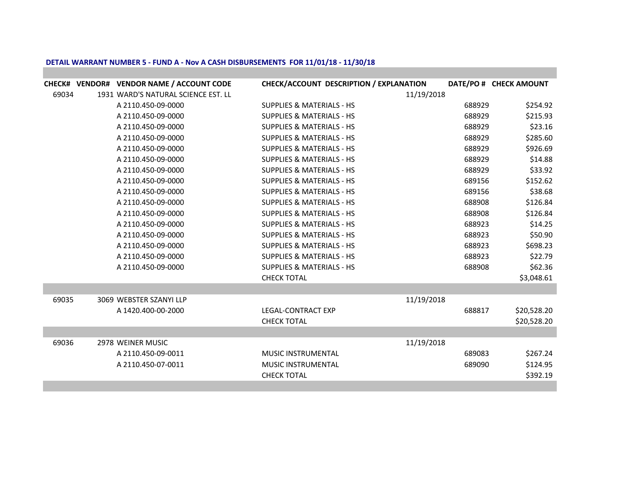| 1931 WARD'S NATURAL SCIENCE EST. LL<br>11/19/2018<br>69034<br>A 2110.450-09-0000<br><b>SUPPLIES &amp; MATERIALS - HS</b><br>688929<br>\$254.92<br>\$215.93<br>A 2110.450-09-0000<br><b>SUPPLIES &amp; MATERIALS - HS</b><br>688929<br>\$23.16<br>A 2110.450-09-0000<br><b>SUPPLIES &amp; MATERIALS - HS</b><br>688929<br>\$285.60<br>A 2110.450-09-0000<br><b>SUPPLIES &amp; MATERIALS - HS</b><br>688929<br>\$926.69<br><b>SUPPLIES &amp; MATERIALS - HS</b><br>688929<br>A 2110.450-09-0000<br>\$14.88<br>A 2110.450-09-0000<br><b>SUPPLIES &amp; MATERIALS - HS</b><br>688929<br>\$33.92<br>A 2110.450-09-0000<br><b>SUPPLIES &amp; MATERIALS - HS</b><br>688929<br>\$152.62<br><b>SUPPLIES &amp; MATERIALS - HS</b><br>A 2110.450-09-0000<br>689156<br>\$38.68<br><b>SUPPLIES &amp; MATERIALS - HS</b><br>A 2110.450-09-0000<br>689156<br>\$126.84<br><b>SUPPLIES &amp; MATERIALS - HS</b><br>A 2110.450-09-0000<br>688908<br>\$126.84<br>A 2110.450-09-0000<br><b>SUPPLIES &amp; MATERIALS - HS</b><br>688908<br>\$14.25<br><b>SUPPLIES &amp; MATERIALS - HS</b><br>A 2110.450-09-0000<br>688923<br>\$50.90<br><b>SUPPLIES &amp; MATERIALS - HS</b><br>A 2110.450-09-0000<br>688923<br>\$698.23<br>A 2110.450-09-0000<br><b>SUPPLIES &amp; MATERIALS - HS</b><br>688923<br><b>SUPPLIES &amp; MATERIALS - HS</b><br>\$22.79<br>A 2110.450-09-0000<br>688923<br><b>SUPPLIES &amp; MATERIALS - HS</b><br>\$62.36<br>A 2110.450-09-0000<br>688908<br>\$3,048.61<br><b>CHECK TOTAL</b><br>11/19/2018<br>69035<br>3069 WEBSTER SZANYI LLP<br>\$20,528.20<br>A 1420.400-00-2000<br><b>LEGAL-CONTRACT EXP</b><br>688817<br><b>CHECK TOTAL</b><br>\$20,528.20<br>11/19/2018<br>69036<br>2978 WEINER MUSIC<br>\$267.24<br><b>MUSIC INSTRUMENTAL</b><br>689083<br>A 2110.450-09-0011<br>A 2110.450-07-0011<br>\$124.95<br><b>MUSIC INSTRUMENTAL</b><br>689090 |  | CHECK# VENDOR# VENDOR NAME / ACCOUNT CODE | CHECK/ACCOUNT DESCRIPTION / EXPLANATION |  | DATE/PO # CHECK AMOUNT |
|---------------------------------------------------------------------------------------------------------------------------------------------------------------------------------------------------------------------------------------------------------------------------------------------------------------------------------------------------------------------------------------------------------------------------------------------------------------------------------------------------------------------------------------------------------------------------------------------------------------------------------------------------------------------------------------------------------------------------------------------------------------------------------------------------------------------------------------------------------------------------------------------------------------------------------------------------------------------------------------------------------------------------------------------------------------------------------------------------------------------------------------------------------------------------------------------------------------------------------------------------------------------------------------------------------------------------------------------------------------------------------------------------------------------------------------------------------------------------------------------------------------------------------------------------------------------------------------------------------------------------------------------------------------------------------------------------------------------------------------------------------------------------------------------------------------------------------------------------------|--|-------------------------------------------|-----------------------------------------|--|------------------------|
|                                                                                                                                                                                                                                                                                                                                                                                                                                                                                                                                                                                                                                                                                                                                                                                                                                                                                                                                                                                                                                                                                                                                                                                                                                                                                                                                                                                                                                                                                                                                                                                                                                                                                                                                                                                                                                                         |  |                                           |                                         |  |                        |
|                                                                                                                                                                                                                                                                                                                                                                                                                                                                                                                                                                                                                                                                                                                                                                                                                                                                                                                                                                                                                                                                                                                                                                                                                                                                                                                                                                                                                                                                                                                                                                                                                                                                                                                                                                                                                                                         |  |                                           |                                         |  |                        |
|                                                                                                                                                                                                                                                                                                                                                                                                                                                                                                                                                                                                                                                                                                                                                                                                                                                                                                                                                                                                                                                                                                                                                                                                                                                                                                                                                                                                                                                                                                                                                                                                                                                                                                                                                                                                                                                         |  |                                           |                                         |  |                        |
|                                                                                                                                                                                                                                                                                                                                                                                                                                                                                                                                                                                                                                                                                                                                                                                                                                                                                                                                                                                                                                                                                                                                                                                                                                                                                                                                                                                                                                                                                                                                                                                                                                                                                                                                                                                                                                                         |  |                                           |                                         |  |                        |
|                                                                                                                                                                                                                                                                                                                                                                                                                                                                                                                                                                                                                                                                                                                                                                                                                                                                                                                                                                                                                                                                                                                                                                                                                                                                                                                                                                                                                                                                                                                                                                                                                                                                                                                                                                                                                                                         |  |                                           |                                         |  |                        |
|                                                                                                                                                                                                                                                                                                                                                                                                                                                                                                                                                                                                                                                                                                                                                                                                                                                                                                                                                                                                                                                                                                                                                                                                                                                                                                                                                                                                                                                                                                                                                                                                                                                                                                                                                                                                                                                         |  |                                           |                                         |  |                        |
|                                                                                                                                                                                                                                                                                                                                                                                                                                                                                                                                                                                                                                                                                                                                                                                                                                                                                                                                                                                                                                                                                                                                                                                                                                                                                                                                                                                                                                                                                                                                                                                                                                                                                                                                                                                                                                                         |  |                                           |                                         |  |                        |
|                                                                                                                                                                                                                                                                                                                                                                                                                                                                                                                                                                                                                                                                                                                                                                                                                                                                                                                                                                                                                                                                                                                                                                                                                                                                                                                                                                                                                                                                                                                                                                                                                                                                                                                                                                                                                                                         |  |                                           |                                         |  |                        |
|                                                                                                                                                                                                                                                                                                                                                                                                                                                                                                                                                                                                                                                                                                                                                                                                                                                                                                                                                                                                                                                                                                                                                                                                                                                                                                                                                                                                                                                                                                                                                                                                                                                                                                                                                                                                                                                         |  |                                           |                                         |  |                        |
|                                                                                                                                                                                                                                                                                                                                                                                                                                                                                                                                                                                                                                                                                                                                                                                                                                                                                                                                                                                                                                                                                                                                                                                                                                                                                                                                                                                                                                                                                                                                                                                                                                                                                                                                                                                                                                                         |  |                                           |                                         |  |                        |
|                                                                                                                                                                                                                                                                                                                                                                                                                                                                                                                                                                                                                                                                                                                                                                                                                                                                                                                                                                                                                                                                                                                                                                                                                                                                                                                                                                                                                                                                                                                                                                                                                                                                                                                                                                                                                                                         |  |                                           |                                         |  |                        |
|                                                                                                                                                                                                                                                                                                                                                                                                                                                                                                                                                                                                                                                                                                                                                                                                                                                                                                                                                                                                                                                                                                                                                                                                                                                                                                                                                                                                                                                                                                                                                                                                                                                                                                                                                                                                                                                         |  |                                           |                                         |  |                        |
|                                                                                                                                                                                                                                                                                                                                                                                                                                                                                                                                                                                                                                                                                                                                                                                                                                                                                                                                                                                                                                                                                                                                                                                                                                                                                                                                                                                                                                                                                                                                                                                                                                                                                                                                                                                                                                                         |  |                                           |                                         |  |                        |
|                                                                                                                                                                                                                                                                                                                                                                                                                                                                                                                                                                                                                                                                                                                                                                                                                                                                                                                                                                                                                                                                                                                                                                                                                                                                                                                                                                                                                                                                                                                                                                                                                                                                                                                                                                                                                                                         |  |                                           |                                         |  |                        |
|                                                                                                                                                                                                                                                                                                                                                                                                                                                                                                                                                                                                                                                                                                                                                                                                                                                                                                                                                                                                                                                                                                                                                                                                                                                                                                                                                                                                                                                                                                                                                                                                                                                                                                                                                                                                                                                         |  |                                           |                                         |  |                        |
|                                                                                                                                                                                                                                                                                                                                                                                                                                                                                                                                                                                                                                                                                                                                                                                                                                                                                                                                                                                                                                                                                                                                                                                                                                                                                                                                                                                                                                                                                                                                                                                                                                                                                                                                                                                                                                                         |  |                                           |                                         |  |                        |
|                                                                                                                                                                                                                                                                                                                                                                                                                                                                                                                                                                                                                                                                                                                                                                                                                                                                                                                                                                                                                                                                                                                                                                                                                                                                                                                                                                                                                                                                                                                                                                                                                                                                                                                                                                                                                                                         |  |                                           |                                         |  |                        |
|                                                                                                                                                                                                                                                                                                                                                                                                                                                                                                                                                                                                                                                                                                                                                                                                                                                                                                                                                                                                                                                                                                                                                                                                                                                                                                                                                                                                                                                                                                                                                                                                                                                                                                                                                                                                                                                         |  |                                           |                                         |  |                        |
|                                                                                                                                                                                                                                                                                                                                                                                                                                                                                                                                                                                                                                                                                                                                                                                                                                                                                                                                                                                                                                                                                                                                                                                                                                                                                                                                                                                                                                                                                                                                                                                                                                                                                                                                                                                                                                                         |  |                                           |                                         |  |                        |
|                                                                                                                                                                                                                                                                                                                                                                                                                                                                                                                                                                                                                                                                                                                                                                                                                                                                                                                                                                                                                                                                                                                                                                                                                                                                                                                                                                                                                                                                                                                                                                                                                                                                                                                                                                                                                                                         |  |                                           |                                         |  |                        |
|                                                                                                                                                                                                                                                                                                                                                                                                                                                                                                                                                                                                                                                                                                                                                                                                                                                                                                                                                                                                                                                                                                                                                                                                                                                                                                                                                                                                                                                                                                                                                                                                                                                                                                                                                                                                                                                         |  |                                           |                                         |  |                        |
|                                                                                                                                                                                                                                                                                                                                                                                                                                                                                                                                                                                                                                                                                                                                                                                                                                                                                                                                                                                                                                                                                                                                                                                                                                                                                                                                                                                                                                                                                                                                                                                                                                                                                                                                                                                                                                                         |  |                                           |                                         |  |                        |
|                                                                                                                                                                                                                                                                                                                                                                                                                                                                                                                                                                                                                                                                                                                                                                                                                                                                                                                                                                                                                                                                                                                                                                                                                                                                                                                                                                                                                                                                                                                                                                                                                                                                                                                                                                                                                                                         |  |                                           |                                         |  |                        |
|                                                                                                                                                                                                                                                                                                                                                                                                                                                                                                                                                                                                                                                                                                                                                                                                                                                                                                                                                                                                                                                                                                                                                                                                                                                                                                                                                                                                                                                                                                                                                                                                                                                                                                                                                                                                                                                         |  |                                           |                                         |  |                        |
|                                                                                                                                                                                                                                                                                                                                                                                                                                                                                                                                                                                                                                                                                                                                                                                                                                                                                                                                                                                                                                                                                                                                                                                                                                                                                                                                                                                                                                                                                                                                                                                                                                                                                                                                                                                                                                                         |  |                                           |                                         |  |                        |
|                                                                                                                                                                                                                                                                                                                                                                                                                                                                                                                                                                                                                                                                                                                                                                                                                                                                                                                                                                                                                                                                                                                                                                                                                                                                                                                                                                                                                                                                                                                                                                                                                                                                                                                                                                                                                                                         |  |                                           |                                         |  |                        |
|                                                                                                                                                                                                                                                                                                                                                                                                                                                                                                                                                                                                                                                                                                                                                                                                                                                                                                                                                                                                                                                                                                                                                                                                                                                                                                                                                                                                                                                                                                                                                                                                                                                                                                                                                                                                                                                         |  |                                           | <b>CHECK TOTAL</b>                      |  | \$392.19               |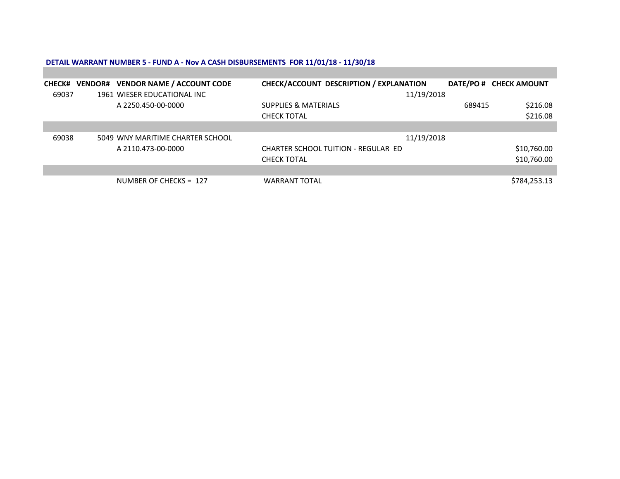| <b>CHECK#</b> | <b>VENDOR#</b> | <b>VENDOR NAME / ACCOUNT CODE</b> | CHECK/ACCOUNT DESCRIPTION / EXPLANATION    |            |        | DATE/PO # CHECK AMOUNT |
|---------------|----------------|-----------------------------------|--------------------------------------------|------------|--------|------------------------|
| 69037         |                | 1961 WIESER EDUCATIONAL INC       |                                            | 11/19/2018 |        |                        |
|               |                | A 2250.450-00-0000                | SUPPLIES & MATERIALS                       |            | 689415 | \$216.08               |
|               |                |                                   | <b>CHECK TOTAL</b>                         |            |        | \$216.08               |
|               |                |                                   |                                            |            |        |                        |
| 69038         |                | 5049 WNY MARITIME CHARTER SCHOOL  |                                            | 11/19/2018 |        |                        |
|               |                | A 2110.473-00-0000                | <b>CHARTER SCHOOL TUITION - REGULAR ED</b> |            |        | \$10,760.00            |
|               |                |                                   | <b>CHECK TOTAL</b>                         |            |        | \$10,760.00            |
|               |                |                                   |                                            |            |        |                        |
|               |                | NUMBER OF CHECKS = $127$          | WARRANT TOTAL                              |            |        | \$784,253.13           |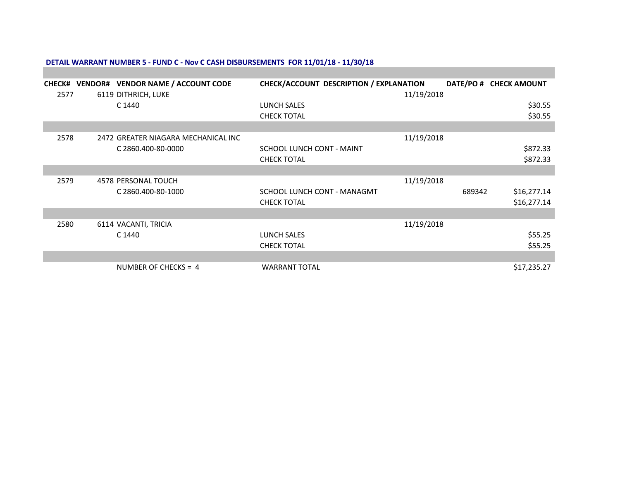|      | <b>CHECK# VENDOR#</b> | <b>VENDOR NAME / ACCOUNT CODE</b>   | CHECK/ACCOUNT DESCRIPTION / EXPLANATION |            |        | DATE/PO # CHECK AMOUNT |
|------|-----------------------|-------------------------------------|-----------------------------------------|------------|--------|------------------------|
| 2577 |                       | 6119 DITHRICH, LUKE                 |                                         | 11/19/2018 |        |                        |
|      |                       | C 1440                              | <b>LUNCH SALES</b>                      |            |        | \$30.55                |
|      |                       |                                     | <b>CHECK TOTAL</b>                      |            |        | \$30.55                |
|      |                       |                                     |                                         |            |        |                        |
| 2578 |                       | 2472 GREATER NIAGARA MECHANICAL INC |                                         | 11/19/2018 |        |                        |
|      |                       | C 2860.400-80-0000                  | SCHOOL LUNCH CONT - MAINT               |            |        | \$872.33               |
|      |                       |                                     | <b>CHECK TOTAL</b>                      |            |        | \$872.33               |
|      |                       |                                     |                                         |            |        |                        |
| 2579 |                       | 4578 PERSONAL TOUCH                 |                                         | 11/19/2018 |        |                        |
|      |                       | C 2860.400-80-1000                  | SCHOOL LUNCH CONT - MANAGMT             |            | 689342 | \$16,277.14            |
|      |                       |                                     | <b>CHECK TOTAL</b>                      |            |        | \$16,277.14            |
|      |                       |                                     |                                         |            |        |                        |
| 2580 |                       | 6114 VACANTI, TRICIA                |                                         | 11/19/2018 |        |                        |
|      |                       | C 1440                              | LUNCH SALES                             |            |        | \$55.25                |
|      |                       |                                     | <b>CHECK TOTAL</b>                      |            |        | \$55.25                |
|      |                       |                                     |                                         |            |        |                        |
|      |                       | NUMBER OF CHECKS = $4$              | <b>WARRANT TOTAL</b>                    |            |        | \$17,235.27            |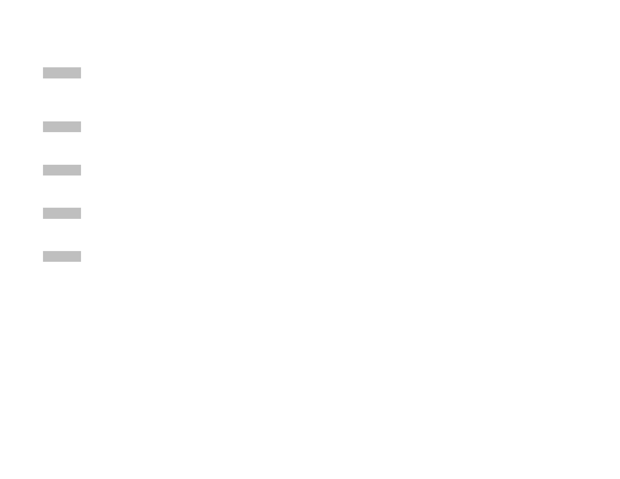$\mathcal{L}^{\text{max}}_{\text{max}}$  $\mathcal{L}^{\text{max}}_{\text{max}}$ 

 $\mathcal{L}^{\text{max}}_{\text{max}}$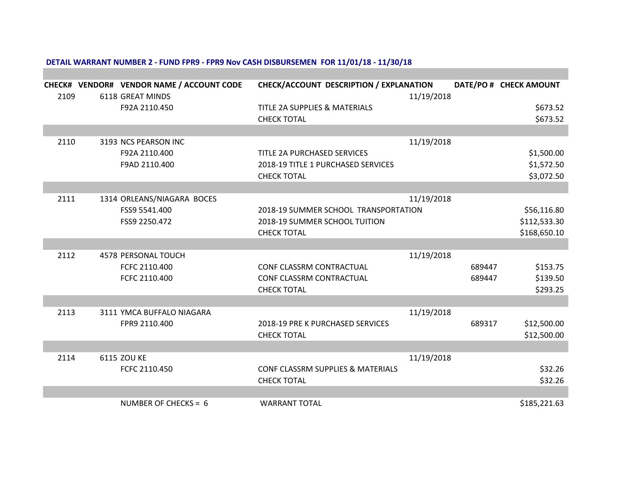| 2109 | CHECK# VENDOR# VENDOR NAME / ACCOUNT CODE<br><b>6118 GREAT MINDS</b> | CHECK/ACCOUNT DESCRIPTION / EXPLANATION             | 11/19/2018 |        | DATE/PO # CHECK AMOUNT |
|------|----------------------------------------------------------------------|-----------------------------------------------------|------------|--------|------------------------|
|      | F92A 2110.450                                                        | TITLE 2A SUPPLIES & MATERIALS<br><b>CHECK TOTAL</b> |            |        | \$673.52<br>\$673.52   |
|      |                                                                      |                                                     |            |        |                        |
| 2110 | 3193 NCS PEARSON INC                                                 |                                                     | 11/19/2018 |        |                        |
|      | F92A 2110.400                                                        | TITLE 2A PURCHASED SERVICES                         |            |        | \$1,500.00             |
|      | F9AD 2110.400                                                        | 2018-19 TITLE 1 PURCHASED SERVICES                  |            |        | \$1,572.50             |
|      |                                                                      | <b>CHECK TOTAL</b>                                  |            |        | \$3,072.50             |
| 2111 | 1314 ORLEANS/NIAGARA BOCES                                           |                                                     | 11/19/2018 |        |                        |
|      | FSS9 5541.400                                                        | 2018-19 SUMMER SCHOOL TRANSPORTATION                |            |        | \$56,116.80            |
|      | FSS9 2250.472                                                        | 2018-19 SUMMER SCHOOL TUITION                       |            |        | \$112,533.30           |
|      |                                                                      | <b>CHECK TOTAL</b>                                  |            |        | \$168,650.10           |
|      |                                                                      |                                                     |            |        |                        |
| 2112 | <b>4578 PERSONAL TOUCH</b><br>FCFC 2110.400                          | CONF CLASSRM CONTRACTUAL                            | 11/19/2018 | 689447 | \$153.75               |
|      | FCFC 2110.400                                                        | CONF CLASSRM CONTRACTUAL                            |            | 689447 | \$139.50               |
|      |                                                                      | <b>CHECK TOTAL</b>                                  |            |        | \$293.25               |
|      |                                                                      |                                                     |            |        |                        |
| 2113 | 3111 YMCA BUFFALO NIAGARA                                            |                                                     | 11/19/2018 |        |                        |
|      | FPR9 2110.400                                                        | 2018-19 PRE K PURCHASED SERVICES                    |            | 689317 | \$12,500.00            |
|      |                                                                      | <b>CHECK TOTAL</b>                                  |            |        | \$12,500.00            |
| 2114 | 6115 ZOU KE                                                          |                                                     | 11/19/2018 |        |                        |
|      | FCFC 2110.450                                                        | CONF CLASSRM SUPPLIES & MATERIALS                   |            |        | \$32.26                |
|      |                                                                      | <b>CHECK TOTAL</b>                                  |            |        | \$32.26                |
|      |                                                                      |                                                     |            |        |                        |
|      | NUMBER OF CHECKS = 6                                                 | <b>WARRANT TOTAL</b>                                |            |        | \$185,221.63           |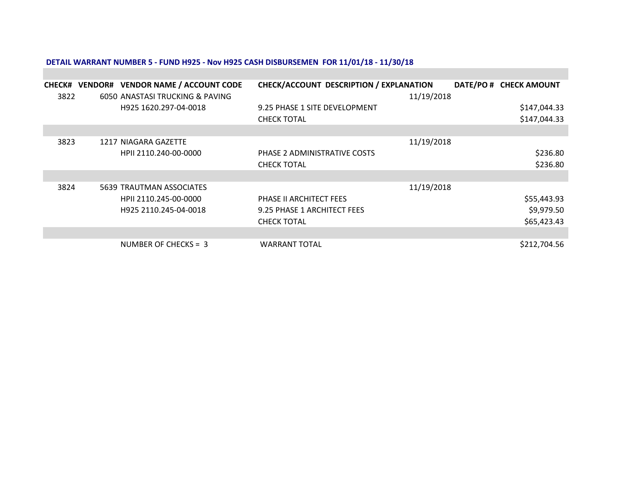| 3822 | CHECK# VENDOR# VENDOR NAME / ACCOUNT CODE<br>6050 ANASTASI TRUCKING & PAVING | CHECK/ACCOUNT DESCRIPTION / EXPLANATION | 11/19/2018 | DATE/PO # CHECK AMOUNT |
|------|------------------------------------------------------------------------------|-----------------------------------------|------------|------------------------|
|      | H925 1620.297-04-0018                                                        | 9.25 PHASE 1 SITE DEVELOPMENT           |            | \$147,044.33           |
|      |                                                                              | <b>CHECK TOTAL</b>                      |            | \$147,044.33           |
|      |                                                                              |                                         |            |                        |
| 3823 | 1217 NIAGARA GAZETTE                                                         |                                         | 11/19/2018 |                        |
|      | HPII 2110.240-00-0000                                                        | PHASE 2 ADMINISTRATIVE COSTS            |            | \$236.80               |
|      |                                                                              | <b>CHECK TOTAL</b>                      |            | \$236.80               |
|      |                                                                              |                                         |            |                        |
| 3824 | 5639 TRAUTMAN ASSOCIATES                                                     |                                         | 11/19/2018 |                        |
|      | HPII 2110.245-00-0000                                                        | PHASE II ARCHITECT FEES                 |            | \$55,443.93            |
|      | H925 2110.245-04-0018                                                        | 9.25 PHASE 1 ARCHITECT FEES             |            | \$9,979.50             |
|      |                                                                              | <b>CHECK TOTAL</b>                      |            | \$65,423.43            |
|      |                                                                              |                                         |            |                        |
|      | NUMBER OF CHECKS = 3                                                         | <b>WARRANT TOTAL</b>                    |            | \$212,704.56           |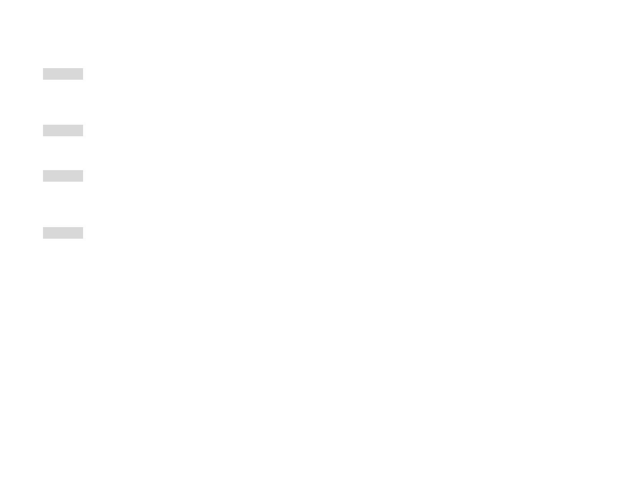$\mathcal{L}^{\text{max}}_{\text{max}}$  $\mathcal{L}^{\text{max}}_{\text{max}}$ 

 $\mathcal{L}^{\text{max}}_{\text{max}}$ 

 $\sim 100$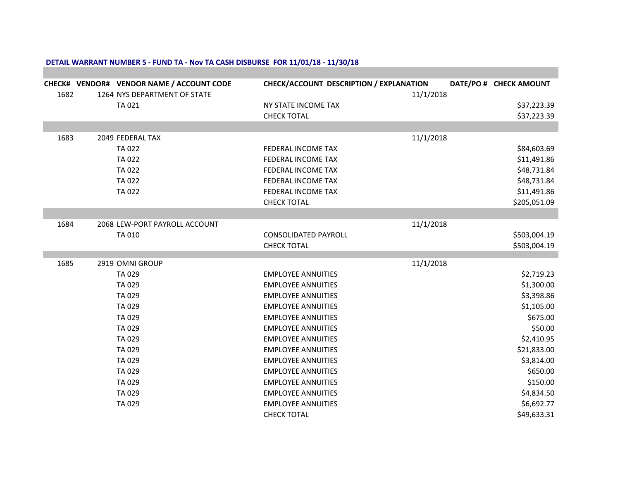|      | CHECK# VENDOR# VENDOR NAME / ACCOUNT CODE | CHECK/ACCOUNT DESCRIPTION / EXPLANATION |           | DATE/PO # CHECK AMOUNT |
|------|-------------------------------------------|-----------------------------------------|-----------|------------------------|
| 1682 | 1264 NYS DEPARTMENT OF STATE              |                                         | 11/1/2018 |                        |
|      | TA 021                                    | NY STATE INCOME TAX                     |           | \$37,223.39            |
|      |                                           | <b>CHECK TOTAL</b>                      |           | \$37,223.39            |
|      |                                           |                                         |           |                        |
| 1683 | 2049 FEDERAL TAX                          |                                         | 11/1/2018 |                        |
|      | <b>TA022</b>                              | FEDERAL INCOME TAX                      |           | \$84,603.69            |
|      | TA 022                                    | FEDERAL INCOME TAX                      |           | \$11,491.86            |
|      | TA 022                                    | FEDERAL INCOME TAX                      |           | \$48,731.84            |
|      | TA 022                                    | FEDERAL INCOME TAX                      |           | \$48,731.84            |
|      | TA 022                                    | FEDERAL INCOME TAX                      |           | \$11,491.86            |
|      |                                           | <b>CHECK TOTAL</b>                      |           | \$205,051.09           |
|      |                                           |                                         |           |                        |
| 1684 | 2068 LEW-PORT PAYROLL ACCOUNT             |                                         | 11/1/2018 |                        |
|      | TA 010                                    | <b>CONSOLIDATED PAYROLL</b>             |           | \$503,004.19           |
|      |                                           | <b>CHECK TOTAL</b>                      |           | \$503,004.19           |
|      |                                           |                                         |           |                        |
| 1685 | 2919 OMNI GROUP                           |                                         | 11/1/2018 |                        |
|      | TA 029                                    | <b>EMPLOYEE ANNUITIES</b>               |           | \$2,719.23             |
|      | TA 029                                    | <b>EMPLOYEE ANNUITIES</b>               |           | \$1,300.00             |
|      | TA 029                                    | <b>EMPLOYEE ANNUITIES</b>               |           | \$3,398.86             |
|      | TA 029                                    | <b>EMPLOYEE ANNUITIES</b>               |           | \$1,105.00             |
|      | TA 029                                    | <b>EMPLOYEE ANNUITIES</b>               |           | \$675.00               |
|      | TA 029                                    | <b>EMPLOYEE ANNUITIES</b>               |           | \$50.00                |
|      | TA 029                                    | <b>EMPLOYEE ANNUITIES</b>               |           | \$2,410.95             |
|      | TA 029                                    | <b>EMPLOYEE ANNUITIES</b>               |           | \$21,833.00            |
|      | TA 029                                    | <b>EMPLOYEE ANNUITIES</b>               |           | \$3,814.00             |
|      | TA 029                                    | <b>EMPLOYEE ANNUITIES</b>               |           | \$650.00               |
|      | TA 029                                    | <b>EMPLOYEE ANNUITIES</b>               |           | \$150.00               |
|      | TA 029                                    | <b>EMPLOYEE ANNUITIES</b>               |           | \$4,834.50             |
|      | TA 029                                    | <b>EMPLOYEE ANNUITIES</b>               |           | \$6,692.77             |
|      |                                           | <b>CHECK TOTAL</b>                      |           | \$49,633.31            |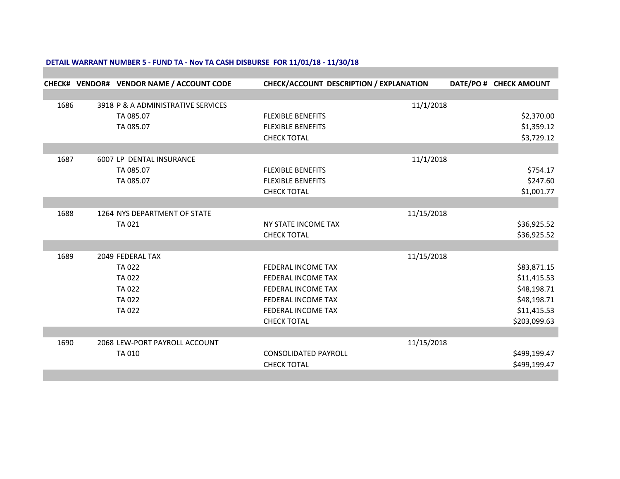|      | CHECK# VENDOR# VENDOR NAME / ACCOUNT CODE | CHECK/ACCOUNT DESCRIPTION / EXPLANATION |            | DATE/PO # CHECK AMOUNT |
|------|-------------------------------------------|-----------------------------------------|------------|------------------------|
|      |                                           |                                         |            |                        |
| 1686 | 3918 P & A ADMINISTRATIVE SERVICES        |                                         | 11/1/2018  |                        |
|      | TA 085.07                                 | <b>FLEXIBLE BENEFITS</b>                |            | \$2,370.00             |
|      | TA 085.07                                 | <b>FLEXIBLE BENEFITS</b>                |            | \$1,359.12             |
|      |                                           | <b>CHECK TOTAL</b>                      |            | \$3,729.12             |
|      |                                           |                                         |            |                        |
| 1687 | 6007 LP DENTAL INSURANCE                  |                                         | 11/1/2018  |                        |
|      | TA 085.07                                 | <b>FLEXIBLE BENEFITS</b>                |            | \$754.17               |
|      | TA 085.07                                 | <b>FLEXIBLE BENEFITS</b>                |            | \$247.60               |
|      |                                           | <b>CHECK TOTAL</b>                      |            | \$1,001.77             |
|      |                                           |                                         |            |                        |
| 1688 | 1264 NYS DEPARTMENT OF STATE              |                                         | 11/15/2018 |                        |
|      | TA 021                                    | NY STATE INCOME TAX                     |            | \$36,925.52            |
|      |                                           | <b>CHECK TOTAL</b>                      |            | \$36,925.52            |
|      |                                           |                                         |            |                        |
| 1689 | 2049 FEDERAL TAX                          |                                         | 11/15/2018 |                        |
|      | <b>TA022</b>                              | FEDERAL INCOME TAX                      |            | \$83,871.15            |
|      | TA 022                                    | FEDERAL INCOME TAX                      |            | \$11,415.53            |
|      | <b>TA022</b>                              | FEDERAL INCOME TAX                      |            | \$48,198.71            |
|      | <b>TA022</b>                              | FEDERAL INCOME TAX                      |            | \$48,198.71            |
|      | TA 022                                    | FEDERAL INCOME TAX                      |            | \$11,415.53            |
|      |                                           | <b>CHECK TOTAL</b>                      |            | \$203,099.63           |
|      |                                           |                                         |            |                        |
| 1690 | 2068 LEW-PORT PAYROLL ACCOUNT             |                                         | 11/15/2018 |                        |
|      | TA 010                                    | <b>CONSOLIDATED PAYROLL</b>             |            | \$499,199.47           |
|      |                                           | <b>CHECK TOTAL</b>                      |            | \$499,199.47           |
|      |                                           |                                         |            |                        |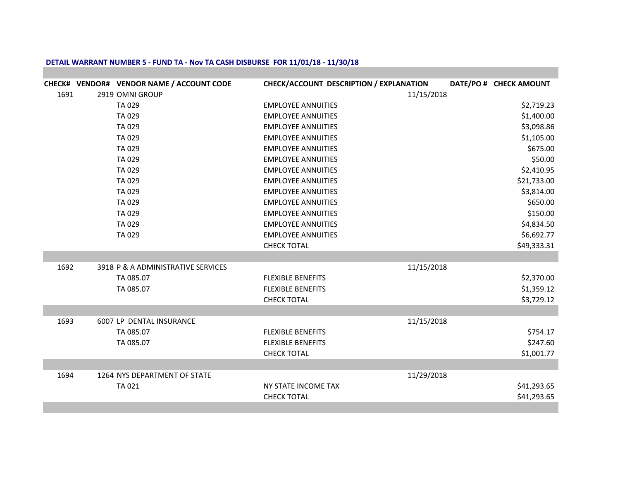|      | CHECK# VENDOR# VENDOR NAME / ACCOUNT CODE | CHECK/ACCOUNT DESCRIPTION / EXPLANATION |            | DATE/PO # CHECK AMOUNT |
|------|-------------------------------------------|-----------------------------------------|------------|------------------------|
| 1691 | 2919 OMNI GROUP                           |                                         | 11/15/2018 |                        |
|      | TA 029                                    | <b>EMPLOYEE ANNUITIES</b>               |            | \$2,719.23             |
|      | TA 029                                    | <b>EMPLOYEE ANNUITIES</b>               |            | \$1,400.00             |
|      | TA 029                                    | <b>EMPLOYEE ANNUITIES</b>               |            | \$3,098.86             |
|      | TA 029                                    | <b>EMPLOYEE ANNUITIES</b>               |            | \$1,105.00             |
|      | TA 029                                    | <b>EMPLOYEE ANNUITIES</b>               |            | \$675.00               |
|      | TA 029                                    | <b>EMPLOYEE ANNUITIES</b>               |            | \$50.00                |
|      | TA 029                                    | <b>EMPLOYEE ANNUITIES</b>               |            | \$2,410.95             |
|      | TA 029                                    | <b>EMPLOYEE ANNUITIES</b>               |            | \$21,733.00            |
|      | TA 029                                    | <b>EMPLOYEE ANNUITIES</b>               |            | \$3,814.00             |
|      | TA 029                                    | <b>EMPLOYEE ANNUITIES</b>               |            | \$650.00               |
|      | TA 029                                    | <b>EMPLOYEE ANNUITIES</b>               |            | \$150.00               |
|      | TA 029                                    | <b>EMPLOYEE ANNUITIES</b>               |            | \$4,834.50             |
|      | TA 029                                    | <b>EMPLOYEE ANNUITIES</b>               |            | \$6,692.77             |
|      |                                           | <b>CHECK TOTAL</b>                      |            | \$49,333.31            |
|      |                                           |                                         |            |                        |
| 1692 | 3918 P & A ADMINISTRATIVE SERVICES        |                                         | 11/15/2018 |                        |
|      | TA 085.07                                 | <b>FLEXIBLE BENEFITS</b>                |            | \$2,370.00             |
|      | TA 085.07                                 | <b>FLEXIBLE BENEFITS</b>                |            | \$1,359.12             |
|      |                                           | <b>CHECK TOTAL</b>                      |            | \$3,729.12             |
|      |                                           |                                         |            |                        |
| 1693 | 6007 LP DENTAL INSURANCE                  |                                         | 11/15/2018 |                        |
|      | TA 085.07                                 | <b>FLEXIBLE BENEFITS</b>                |            | \$754.17               |
|      | TA 085.07                                 | <b>FLEXIBLE BENEFITS</b>                |            | \$247.60               |
|      |                                           | <b>CHECK TOTAL</b>                      |            | \$1,001.77             |
|      |                                           |                                         |            |                        |
| 1694 | 1264 NYS DEPARTMENT OF STATE              |                                         | 11/29/2018 |                        |
|      | TA 021                                    | NY STATE INCOME TAX                     |            | \$41,293.65            |
|      |                                           | <b>CHECK TOTAL</b>                      |            | \$41,293.65            |
|      |                                           |                                         |            |                        |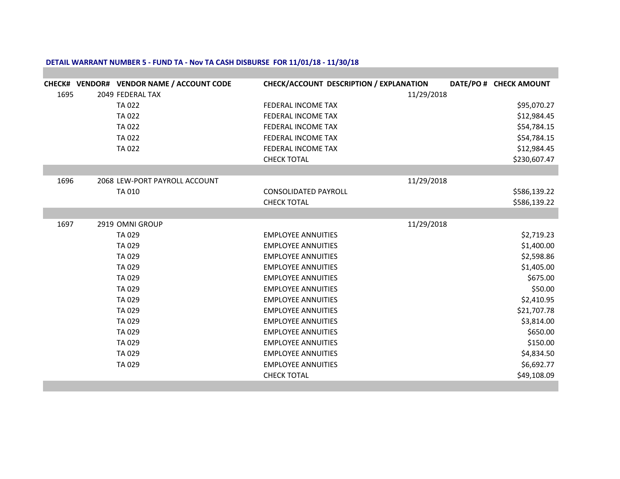|      | CHECK# VENDOR# VENDOR NAME / ACCOUNT CODE | <b>CHECK/ACCOUNT DESCRIPTION / EXPLANATION</b> |            | DATE/PO # CHECK AMOUNT |
|------|-------------------------------------------|------------------------------------------------|------------|------------------------|
| 1695 | 2049 FEDERAL TAX                          |                                                | 11/29/2018 |                        |
|      | TA 022                                    | FEDERAL INCOME TAX                             |            | \$95,070.27            |
|      | TA 022                                    | FEDERAL INCOME TAX                             |            | \$12,984.45            |
|      | TA 022                                    | FEDERAL INCOME TAX                             |            | \$54,784.15            |
|      | TA 022                                    | FEDERAL INCOME TAX                             |            | \$54,784.15            |
|      | TA 022                                    | FEDERAL INCOME TAX                             |            | \$12,984.45            |
|      |                                           | <b>CHECK TOTAL</b>                             |            | \$230,607.47           |
|      |                                           |                                                |            |                        |
| 1696 | 2068 LEW-PORT PAYROLL ACCOUNT             |                                                | 11/29/2018 |                        |
|      | TA 010                                    | <b>CONSOLIDATED PAYROLL</b>                    |            | \$586,139.22           |
|      |                                           | <b>CHECK TOTAL</b>                             |            | \$586,139.22           |
|      |                                           |                                                |            |                        |
| 1697 | 2919 OMNI GROUP                           |                                                | 11/29/2018 |                        |
|      | TA 029                                    | <b>EMPLOYEE ANNUITIES</b>                      |            | \$2,719.23             |
|      | TA 029                                    | <b>EMPLOYEE ANNUITIES</b>                      |            | \$1,400.00             |
|      | TA 029                                    | <b>EMPLOYEE ANNUITIES</b>                      |            | \$2,598.86             |
|      | TA 029                                    | <b>EMPLOYEE ANNUITIES</b>                      |            | \$1,405.00             |
|      | TA 029                                    | <b>EMPLOYEE ANNUITIES</b>                      |            | \$675.00               |
|      | TA 029                                    | <b>EMPLOYEE ANNUITIES</b>                      |            | \$50.00                |
|      | TA 029                                    | <b>EMPLOYEE ANNUITIES</b>                      |            | \$2,410.95             |
|      | TA 029                                    | <b>EMPLOYEE ANNUITIES</b>                      |            | \$21,707.78            |
|      | TA 029                                    | <b>EMPLOYEE ANNUITIES</b>                      |            | \$3,814.00             |
|      | TA 029                                    | <b>EMPLOYEE ANNUITIES</b>                      |            | \$650.00               |
|      | TA 029                                    | <b>EMPLOYEE ANNUITIES</b>                      |            | \$150.00               |
|      | TA 029                                    | <b>EMPLOYEE ANNUITIES</b>                      |            | \$4,834.50             |
|      | TA 029                                    | <b>EMPLOYEE ANNUITIES</b>                      |            | \$6,692.77             |
|      |                                           | <b>CHECK TOTAL</b>                             |            | \$49,108.09            |
|      |                                           |                                                |            |                        |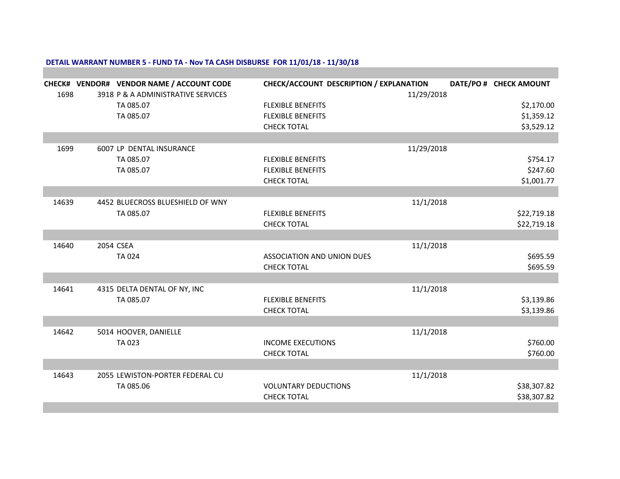|       | CHECK# VENDOR# VENDOR NAME / ACCOUNT CODE |                                   | CHECK/ACCOUNT DESCRIPTION / EXPLANATION |            | DATE/PO # CHECK AMOUNT |
|-------|-------------------------------------------|-----------------------------------|-----------------------------------------|------------|------------------------|
| 1698  | 3918 P & A ADMINISTRATIVE SERVICES        |                                   |                                         | 11/29/2018 |                        |
|       | TA 085.07                                 | <b>FLEXIBLE BENEFITS</b>          |                                         |            | \$2,170.00             |
|       | TA 085.07                                 | <b>FLEXIBLE BENEFITS</b>          |                                         |            | \$1,359.12             |
|       |                                           | <b>CHECK TOTAL</b>                |                                         |            | \$3,529.12             |
|       |                                           |                                   |                                         |            |                        |
| 1699  | 6007 LP DENTAL INSURANCE                  |                                   |                                         | 11/29/2018 |                        |
|       | TA 085.07                                 | <b>FLEXIBLE BENEFITS</b>          |                                         |            | \$754.17               |
|       | TA 085.07                                 | <b>FLEXIBLE BENEFITS</b>          |                                         |            | \$247.60               |
|       |                                           | <b>CHECK TOTAL</b>                |                                         |            | \$1,001.77             |
|       |                                           |                                   |                                         |            |                        |
| 14639 | 4452 BLUECROSS BLUESHIELD OF WNY          |                                   |                                         | 11/1/2018  |                        |
|       | TA 085.07                                 | <b>FLEXIBLE BENEFITS</b>          |                                         |            | \$22,719.18            |
|       |                                           | <b>CHECK TOTAL</b>                |                                         |            | \$22,719.18            |
|       |                                           |                                   |                                         |            |                        |
| 14640 | 2054 CSEA                                 |                                   |                                         | 11/1/2018  |                        |
|       | TA 024                                    | <b>ASSOCIATION AND UNION DUES</b> |                                         |            | \$695.59               |
|       |                                           | <b>CHECK TOTAL</b>                |                                         |            | \$695.59               |
|       |                                           |                                   |                                         |            |                        |
| 14641 | 4315 DELTA DENTAL OF NY, INC              |                                   |                                         | 11/1/2018  |                        |
|       | TA 085.07                                 | <b>FLEXIBLE BENEFITS</b>          |                                         |            | \$3,139.86             |
|       |                                           | <b>CHECK TOTAL</b>                |                                         |            | \$3,139.86             |
|       |                                           |                                   |                                         |            |                        |
| 14642 | 5014 HOOVER, DANIELLE                     |                                   |                                         | 11/1/2018  |                        |
|       | TA 023                                    | <b>INCOME EXECUTIONS</b>          |                                         |            | \$760.00               |
|       |                                           | <b>CHECK TOTAL</b>                |                                         |            | \$760.00               |
|       |                                           |                                   |                                         |            |                        |
| 14643 | 2055 LEWISTON-PORTER FEDERAL CU           |                                   |                                         | 11/1/2018  |                        |
|       | TA 085.06                                 | <b>VOLUNTARY DEDUCTIONS</b>       |                                         |            | \$38,307.82            |
|       |                                           | <b>CHECK TOTAL</b>                |                                         |            | \$38,307.82            |
|       |                                           |                                   |                                         |            |                        |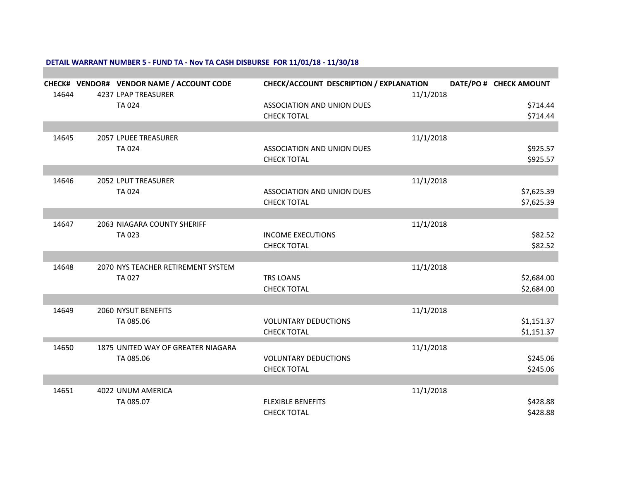|       | CHECK# VENDOR# VENDOR NAME / ACCOUNT CODE | CHECK/ACCOUNT DESCRIPTION / EXPLANATION |           | DATE/PO # CHECK AMOUNT |
|-------|-------------------------------------------|-----------------------------------------|-----------|------------------------|
| 14644 | <b>4237 LPAP TREASURER</b>                |                                         | 11/1/2018 |                        |
|       | TA 024                                    | <b>ASSOCIATION AND UNION DUES</b>       |           | \$714.44               |
|       |                                           | <b>CHECK TOTAL</b>                      |           | \$714.44               |
|       |                                           |                                         |           |                        |
| 14645 | <b>2057 LPUEE TREASURER</b>               |                                         | 11/1/2018 |                        |
|       | <b>TA024</b>                              | <b>ASSOCIATION AND UNION DUES</b>       |           | \$925.57               |
|       |                                           | <b>CHECK TOTAL</b>                      |           | \$925.57               |
|       |                                           |                                         |           |                        |
| 14646 | <b>2052 LPUT TREASURER</b>                |                                         | 11/1/2018 |                        |
|       | TA 024                                    | <b>ASSOCIATION AND UNION DUES</b>       |           | \$7,625.39             |
|       |                                           | <b>CHECK TOTAL</b>                      |           | \$7,625.39             |
|       |                                           |                                         |           |                        |
| 14647 | 2063 NIAGARA COUNTY SHERIFF               |                                         | 11/1/2018 |                        |
|       | TA 023                                    | <b>INCOME EXECUTIONS</b>                |           | \$82.52                |
|       |                                           | <b>CHECK TOTAL</b>                      |           | \$82.52                |
|       |                                           |                                         |           |                        |
| 14648 | 2070 NYS TEACHER RETIREMENT SYSTEM        |                                         | 11/1/2018 |                        |
|       | TA 027                                    | <b>TRS LOANS</b>                        |           | \$2,684.00             |
|       |                                           | <b>CHECK TOTAL</b>                      |           | \$2,684.00             |
|       |                                           |                                         |           |                        |
| 14649 | 2060 NYSUT BENEFITS                       |                                         | 11/1/2018 |                        |
|       | TA 085.06                                 | <b>VOLUNTARY DEDUCTIONS</b>             |           | \$1,151.37             |
|       |                                           | <b>CHECK TOTAL</b>                      |           | \$1,151.37             |
| 14650 | 1875 UNITED WAY OF GREATER NIAGARA        |                                         | 11/1/2018 |                        |
|       | TA 085.06                                 | <b>VOLUNTARY DEDUCTIONS</b>             |           | \$245.06               |
|       |                                           | <b>CHECK TOTAL</b>                      |           | \$245.06               |
|       |                                           |                                         |           |                        |
| 14651 | 4022 UNUM AMERICA                         |                                         | 11/1/2018 |                        |
|       | TA 085.07                                 | <b>FLEXIBLE BENEFITS</b>                |           | \$428.88               |
|       |                                           | <b>CHECK TOTAL</b>                      |           | \$428.88               |
|       |                                           |                                         |           |                        |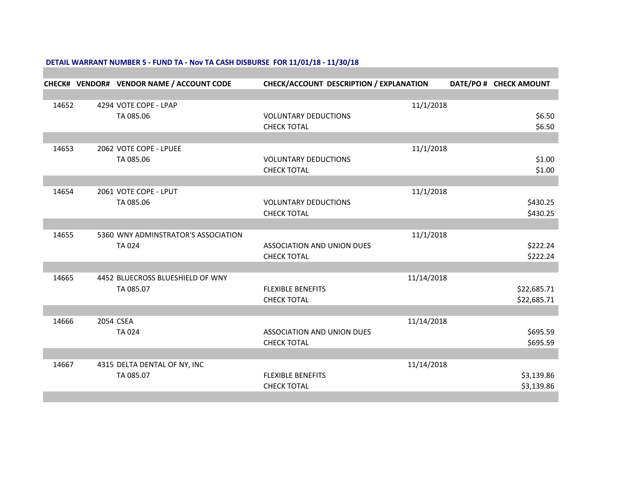|       | CHECK# VENDOR# VENDOR NAME / ACCOUNT CODE | CHECK/ACCOUNT DESCRIPTION / EXPLANATION | DATE/PO # CHECK AMOUNT |
|-------|-------------------------------------------|-----------------------------------------|------------------------|
|       |                                           |                                         |                        |
| 14652 | 4294 VOTE COPE - LPAP                     | 11/1/2018                               |                        |
|       | TA 085.06                                 | <b>VOLUNTARY DEDUCTIONS</b>             | \$6.50                 |
|       |                                           | <b>CHECK TOTAL</b>                      | \$6.50                 |
|       |                                           |                                         |                        |
| 14653 | 2062 VOTE COPE - LPUEE                    | 11/1/2018                               |                        |
|       | TA 085.06                                 | <b>VOLUNTARY DEDUCTIONS</b>             | \$1.00                 |
|       |                                           | <b>CHECK TOTAL</b>                      | \$1.00                 |
|       |                                           |                                         |                        |
| 14654 | 2061 VOTE COPE - LPUT                     | 11/1/2018                               |                        |
|       | TA 085.06                                 | <b>VOLUNTARY DEDUCTIONS</b>             | \$430.25               |
|       |                                           | <b>CHECK TOTAL</b>                      | \$430.25               |
|       |                                           |                                         |                        |
| 14655 | 5360 WNY ADMINSTRATOR'S ASSOCIATION       | 11/1/2018                               |                        |
|       | TA 024                                    | <b>ASSOCIATION AND UNION DUES</b>       | \$222.24               |
|       |                                           | <b>CHECK TOTAL</b>                      | \$222.24               |
|       |                                           |                                         |                        |
| 14665 | 4452 BLUECROSS BLUESHIELD OF WNY          | 11/14/2018                              |                        |
|       | TA 085.07                                 | <b>FLEXIBLE BENEFITS</b>                | \$22,685.71            |
|       |                                           | <b>CHECK TOTAL</b>                      |                        |
|       |                                           |                                         | \$22,685.71            |
|       |                                           |                                         |                        |
| 14666 | 2054 CSEA                                 | 11/14/2018                              |                        |
|       | TA 024                                    | <b>ASSOCIATION AND UNION DUES</b>       | \$695.59               |
|       |                                           | <b>CHECK TOTAL</b>                      | \$695.59               |
|       |                                           |                                         |                        |
| 14667 | 4315 DELTA DENTAL OF NY, INC              | 11/14/2018                              |                        |
|       | TA 085.07                                 | <b>FLEXIBLE BENEFITS</b>                | \$3,139.86             |
|       |                                           | <b>CHECK TOTAL</b>                      | \$3,139.86             |
|       |                                           |                                         |                        |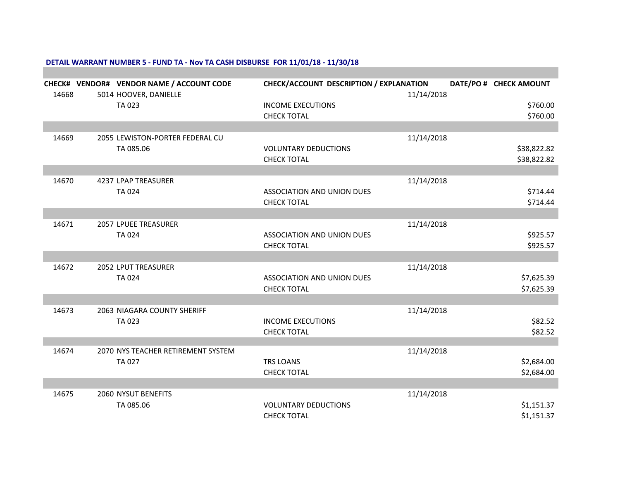|       | CHECK# VENDOR# VENDOR NAME / ACCOUNT CODE | CHECK/ACCOUNT DESCRIPTION / EXPLANATION |            | DATE/PO # CHECK AMOUNT |
|-------|-------------------------------------------|-----------------------------------------|------------|------------------------|
| 14668 | 5014 HOOVER, DANIELLE                     |                                         | 11/14/2018 |                        |
|       | TA 023                                    | <b>INCOME EXECUTIONS</b>                |            | \$760.00               |
|       |                                           | <b>CHECK TOTAL</b>                      |            | \$760.00               |
|       |                                           |                                         |            |                        |
| 14669 | 2055 LEWISTON-PORTER FEDERAL CU           |                                         | 11/14/2018 |                        |
|       | TA 085.06                                 | <b>VOLUNTARY DEDUCTIONS</b>             |            | \$38,822.82            |
|       |                                           | <b>CHECK TOTAL</b>                      |            | \$38,822.82            |
|       |                                           |                                         |            |                        |
| 14670 | <b>4237 LPAP TREASURER</b>                |                                         | 11/14/2018 |                        |
|       | <b>TA024</b>                              | <b>ASSOCIATION AND UNION DUES</b>       |            | \$714.44               |
|       |                                           | <b>CHECK TOTAL</b>                      |            | \$714.44               |
|       |                                           |                                         |            |                        |
| 14671 | <b>2057 LPUEE TREASURER</b>               |                                         | 11/14/2018 |                        |
|       | <b>TA024</b>                              | <b>ASSOCIATION AND UNION DUES</b>       |            | \$925.57               |
|       |                                           | <b>CHECK TOTAL</b>                      |            | \$925.57               |
|       |                                           |                                         |            |                        |
| 14672 | 2052 LPUT TREASURER                       |                                         | 11/14/2018 |                        |
|       | <b>TA024</b>                              | <b>ASSOCIATION AND UNION DUES</b>       |            | \$7,625.39             |
|       |                                           | <b>CHECK TOTAL</b>                      |            | \$7,625.39             |
|       |                                           |                                         |            |                        |
| 14673 | 2063 NIAGARA COUNTY SHERIFF               |                                         | 11/14/2018 |                        |
|       | TA 023                                    | <b>INCOME EXECUTIONS</b>                |            | \$82.52                |
|       |                                           | <b>CHECK TOTAL</b>                      |            | \$82.52                |
|       |                                           |                                         |            |                        |
| 14674 | 2070 NYS TEACHER RETIREMENT SYSTEM        |                                         | 11/14/2018 |                        |
|       | TA 027                                    | <b>TRS LOANS</b>                        |            | \$2,684.00             |
|       |                                           | <b>CHECK TOTAL</b>                      |            | \$2,684.00             |
|       |                                           |                                         |            |                        |
| 14675 | 2060 NYSUT BENEFITS                       |                                         | 11/14/2018 |                        |
|       | TA 085.06                                 | <b>VOLUNTARY DEDUCTIONS</b>             |            | \$1,151.37             |
|       |                                           | <b>CHECK TOTAL</b>                      |            | \$1,151.37             |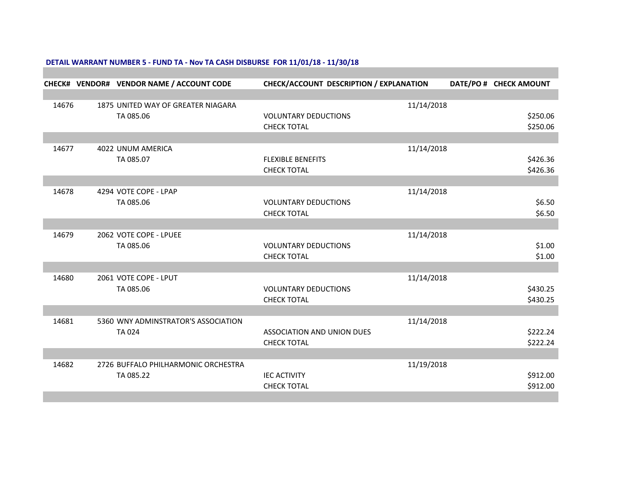|       | CHECK# VENDOR# VENDOR NAME / ACCOUNT CODE | CHECK/ACCOUNT DESCRIPTION / EXPLANATION | DATE/PO # CHECK AMOUNT |
|-------|-------------------------------------------|-----------------------------------------|------------------------|
|       |                                           |                                         |                        |
| 14676 | 1875 UNITED WAY OF GREATER NIAGARA        | 11/14/2018                              |                        |
|       | TA 085.06                                 | <b>VOLUNTARY DEDUCTIONS</b>             | \$250.06               |
|       |                                           | <b>CHECK TOTAL</b>                      | \$250.06               |
|       |                                           |                                         |                        |
| 14677 | 4022 UNUM AMERICA                         | 11/14/2018                              |                        |
|       | TA 085.07                                 | <b>FLEXIBLE BENEFITS</b>                | \$426.36               |
|       |                                           | <b>CHECK TOTAL</b>                      | \$426.36               |
|       |                                           |                                         |                        |
| 14678 | 4294 VOTE COPE - LPAP                     | 11/14/2018                              |                        |
|       | TA 085.06                                 | <b>VOLUNTARY DEDUCTIONS</b>             | \$6.50                 |
|       |                                           | <b>CHECK TOTAL</b>                      | \$6.50                 |
|       |                                           |                                         |                        |
| 14679 | 2062 VOTE COPE - LPUEE                    | 11/14/2018                              |                        |
|       | TA 085.06                                 | <b>VOLUNTARY DEDUCTIONS</b>             | \$1.00                 |
|       |                                           | <b>CHECK TOTAL</b>                      | \$1.00                 |
|       |                                           |                                         |                        |
| 14680 | 2061 VOTE COPE - LPUT                     | 11/14/2018                              |                        |
|       | TA 085.06                                 | <b>VOLUNTARY DEDUCTIONS</b>             | \$430.25               |
|       |                                           | <b>CHECK TOTAL</b>                      | \$430.25               |
|       |                                           |                                         |                        |
| 14681 | 5360 WNY ADMINSTRATOR'S ASSOCIATION       | 11/14/2018                              |                        |
|       | TA 024                                    | <b>ASSOCIATION AND UNION DUES</b>       | \$222.24               |
|       |                                           | <b>CHECK TOTAL</b>                      | \$222.24               |
|       |                                           |                                         |                        |
| 14682 | 2726 BUFFALO PHILHARMONIC ORCHESTRA       | 11/19/2018                              |                        |
|       | TA 085.22                                 | <b>IEC ACTIVITY</b>                     | \$912.00               |
|       |                                           | <b>CHECK TOTAL</b>                      | \$912.00               |
|       |                                           |                                         |                        |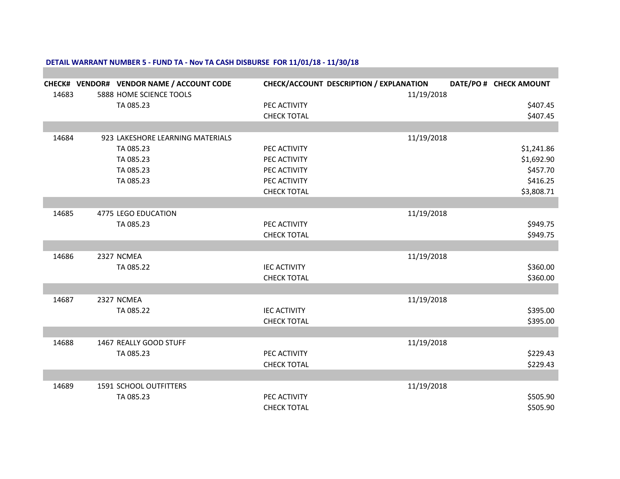|       | CHECK# VENDOR# VENDOR NAME / ACCOUNT CODE |                     | CHECK/ACCOUNT DESCRIPTION / EXPLANATION | DATE/PO # CHECK AMOUNT |
|-------|-------------------------------------------|---------------------|-----------------------------------------|------------------------|
| 14683 | 5888 HOME SCIENCE TOOLS                   |                     | 11/19/2018                              |                        |
|       | TA 085.23                                 | PEC ACTIVITY        |                                         | \$407.45               |
|       |                                           | <b>CHECK TOTAL</b>  |                                         | \$407.45               |
|       |                                           |                     |                                         |                        |
| 14684 | 923 LAKESHORE LEARNING MATERIALS          |                     | 11/19/2018                              |                        |
|       | TA 085.23                                 | PEC ACTIVITY        |                                         | \$1,241.86             |
|       | TA 085.23                                 | PEC ACTIVITY        |                                         | \$1,692.90             |
|       | TA 085.23                                 | PEC ACTIVITY        |                                         | \$457.70               |
|       | TA 085.23                                 | PEC ACTIVITY        |                                         | \$416.25               |
|       |                                           | <b>CHECK TOTAL</b>  |                                         | \$3,808.71             |
|       |                                           |                     |                                         |                        |
| 14685 | 4775 LEGO EDUCATION                       |                     | 11/19/2018                              |                        |
|       | TA 085.23                                 | PEC ACTIVITY        |                                         | \$949.75               |
|       |                                           | <b>CHECK TOTAL</b>  |                                         | \$949.75               |
|       |                                           |                     |                                         |                        |
| 14686 | 2327 NCMEA                                |                     | 11/19/2018                              |                        |
|       | TA 085.22                                 | <b>IEC ACTIVITY</b> |                                         | \$360.00               |
|       |                                           | <b>CHECK TOTAL</b>  |                                         | \$360.00               |
|       |                                           |                     |                                         |                        |
| 14687 | 2327 NCMEA                                |                     | 11/19/2018                              |                        |
|       | TA 085.22                                 | <b>IEC ACTIVITY</b> |                                         | \$395.00               |
|       |                                           | <b>CHECK TOTAL</b>  |                                         | \$395.00               |
|       |                                           |                     |                                         |                        |
| 14688 | 1467 REALLY GOOD STUFF                    |                     | 11/19/2018                              |                        |
|       | TA 085.23                                 | PEC ACTIVITY        |                                         | \$229.43               |
|       |                                           | <b>CHECK TOTAL</b>  |                                         | \$229.43               |
|       |                                           |                     |                                         |                        |
| 14689 | <b>1591 SCHOOL OUTFITTERS</b>             |                     | 11/19/2018                              |                        |
|       | TA 085.23                                 | PEC ACTIVITY        |                                         | \$505.90               |
|       |                                           | <b>CHECK TOTAL</b>  |                                         | \$505.90               |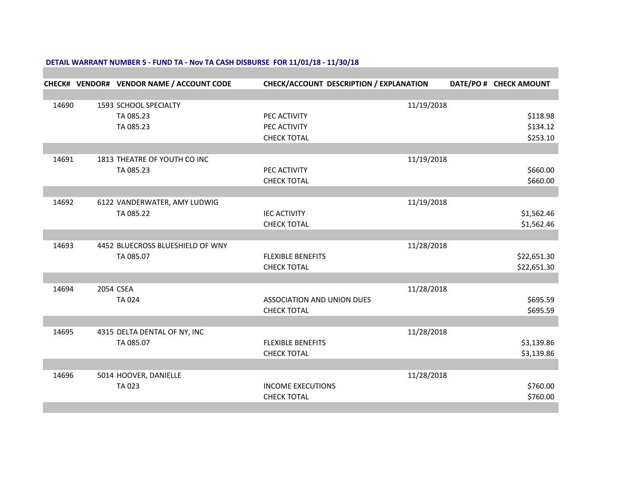|       | CHECK# VENDOR# VENDOR NAME / ACCOUNT CODE | CHECK/ACCOUNT DESCRIPTION / EXPLANATION        |            | DATE/PO # CHECK AMOUNT |
|-------|-------------------------------------------|------------------------------------------------|------------|------------------------|
|       |                                           |                                                |            |                        |
| 14690 | 1593 SCHOOL SPECIALTY                     |                                                | 11/19/2018 |                        |
|       | TA 085.23                                 | PEC ACTIVITY                                   |            | \$118.98               |
|       | TA 085.23                                 | PEC ACTIVITY                                   |            | \$134.12               |
|       |                                           | <b>CHECK TOTAL</b>                             |            | \$253.10               |
|       |                                           |                                                |            |                        |
| 14691 | 1813 THEATRE OF YOUTH CO INC              |                                                | 11/19/2018 |                        |
|       | TA 085.23                                 | PEC ACTIVITY                                   |            | \$660.00               |
|       |                                           | <b>CHECK TOTAL</b>                             |            | \$660.00               |
|       |                                           |                                                |            |                        |
| 14692 | 6122 VANDERWATER, AMY LUDWIG              |                                                | 11/19/2018 |                        |
|       | TA 085.22                                 | <b>IEC ACTIVITY</b>                            |            | \$1,562.46             |
|       |                                           | <b>CHECK TOTAL</b>                             |            | \$1,562.46             |
|       |                                           |                                                |            |                        |
| 14693 | 4452 BLUECROSS BLUESHIELD OF WNY          |                                                | 11/28/2018 |                        |
|       | TA 085.07                                 | <b>FLEXIBLE BENEFITS</b><br><b>CHECK TOTAL</b> |            | \$22,651.30            |
|       |                                           |                                                |            | \$22,651.30            |
| 14694 | 2054 CSEA                                 |                                                | 11/28/2018 |                        |
|       | TA 024                                    | <b>ASSOCIATION AND UNION DUES</b>              |            | \$695.59               |
|       |                                           | <b>CHECK TOTAL</b>                             |            | \$695.59               |
|       |                                           |                                                |            |                        |
| 14695 | 4315 DELTA DENTAL OF NY, INC              |                                                | 11/28/2018 |                        |
|       | TA 085.07                                 | <b>FLEXIBLE BENEFITS</b>                       |            | \$3,139.86             |
|       |                                           | <b>CHECK TOTAL</b>                             |            | \$3,139.86             |
|       |                                           |                                                |            |                        |
| 14696 | 5014 HOOVER, DANIELLE                     |                                                | 11/28/2018 |                        |
|       | TA 023                                    | <b>INCOME EXECUTIONS</b>                       |            | \$760.00               |
|       |                                           | <b>CHECK TOTAL</b>                             |            | \$760.00               |
|       |                                           |                                                |            |                        |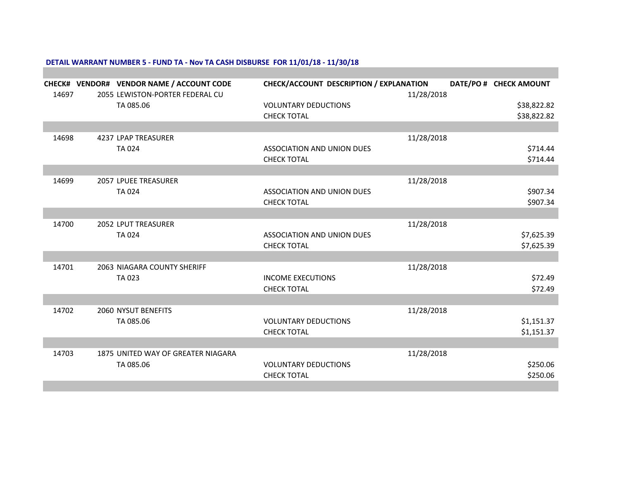| 14697 | CHECK# VENDOR# VENDOR NAME / ACCOUNT CODE<br>2055 LEWISTON-PORTER FEDERAL CU | CHECK/ACCOUNT DESCRIPTION / EXPLANATION | 11/28/2018 | DATE/PO # CHECK AMOUNT |
|-------|------------------------------------------------------------------------------|-----------------------------------------|------------|------------------------|
|       | TA 085.06                                                                    | <b>VOLUNTARY DEDUCTIONS</b>             |            | \$38,822.82            |
|       |                                                                              | <b>CHECK TOTAL</b>                      |            | \$38,822.82            |
|       |                                                                              |                                         |            |                        |
| 14698 | <b>4237 LPAP TREASURER</b>                                                   |                                         | 11/28/2018 |                        |
|       | TA 024                                                                       | <b>ASSOCIATION AND UNION DUES</b>       |            | \$714.44               |
|       |                                                                              | <b>CHECK TOTAL</b>                      |            | \$714.44               |
|       |                                                                              |                                         |            |                        |
| 14699 | <b>2057 LPUEE TREASURER</b>                                                  |                                         | 11/28/2018 |                        |
|       | TA 024                                                                       | <b>ASSOCIATION AND UNION DUES</b>       |            | \$907.34               |
|       |                                                                              | <b>CHECK TOTAL</b>                      |            | \$907.34               |
|       |                                                                              |                                         |            |                        |
| 14700 | <b>2052 LPUT TREASURER</b>                                                   |                                         | 11/28/2018 |                        |
|       | TA 024                                                                       | <b>ASSOCIATION AND UNION DUES</b>       |            | \$7,625.39             |
|       |                                                                              | <b>CHECK TOTAL</b>                      |            | \$7,625.39             |
|       |                                                                              |                                         |            |                        |
| 14701 | 2063 NIAGARA COUNTY SHERIFF                                                  |                                         | 11/28/2018 |                        |
|       | TA 023                                                                       | <b>INCOME EXECUTIONS</b>                |            | \$72.49                |
|       |                                                                              | <b>CHECK TOTAL</b>                      |            | \$72.49                |
|       |                                                                              |                                         |            |                        |
| 14702 | 2060 NYSUT BENEFITS                                                          |                                         | 11/28/2018 |                        |
|       | TA 085.06                                                                    | <b>VOLUNTARY DEDUCTIONS</b>             |            | \$1,151.37             |
|       |                                                                              | <b>CHECK TOTAL</b>                      |            | \$1,151.37             |
|       |                                                                              |                                         |            |                        |
| 14703 | 1875 UNITED WAY OF GREATER NIAGARA                                           |                                         | 11/28/2018 |                        |
|       | TA 085.06                                                                    | <b>VOLUNTARY DEDUCTIONS</b>             |            | \$250.06               |
|       |                                                                              | <b>CHECK TOTAL</b>                      |            | \$250.06               |
|       |                                                                              |                                         |            |                        |